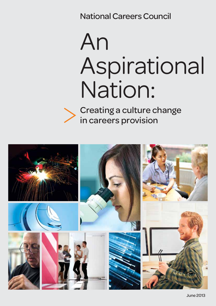National Careers Council

# An Aspirational Nation:

Creating a culture change in careers provision

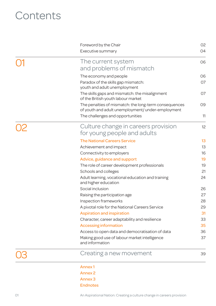# **Contents**

|  | <b>Annex1</b>                                                                                              |          |
|--|------------------------------------------------------------------------------------------------------------|----------|
|  | Creating a new movement                                                                                    | 39       |
|  | and information                                                                                            |          |
|  | Making good use of labour market intelligence                                                              | 37       |
|  | Access to open data and democratisation of data                                                            | 36       |
|  | Character, career adaptability and resilience<br><b>Accessing information</b>                              | 35       |
|  | <b>Aspiration and inspiration</b>                                                                          | 31<br>33 |
|  | A pivotal role for the National Careers Service                                                            | 29       |
|  | Inspection frameworks                                                                                      | 28       |
|  | Raising the participation age                                                                              | 27       |
|  | Social inclusion                                                                                           | 26       |
|  | Adult learning, vocational education and training<br>and higher education                                  | 24       |
|  | Schools and colleges                                                                                       | 21       |
|  | The role of career development professionals                                                               | 19       |
|  | Advice, guidance and support                                                                               | 19       |
|  | Connectivity to employers                                                                                  | 16       |
|  | Achievement and impact                                                                                     | 13       |
|  | <b>The National Careers Service</b>                                                                        | 13       |
|  | for young people and adults                                                                                |          |
|  | Culture change in careers provision                                                                        | 12       |
|  | The challenges and opportunities                                                                           | 11       |
|  | The penalties of mismatch: the long-term consequences<br>of youth and adult unemployment/ under-employment | 09       |
|  | of the British youth labour market                                                                         |          |
|  | The skills gaps and mismatch: the misalignment                                                             | 07       |
|  | youth and adult unemployment                                                                               |          |
|  | The economy and people<br>Paradox of the skills gap mismatch:                                              | 06<br>07 |
|  |                                                                                                            |          |
|  | and problems of mismatch                                                                                   |          |
|  | The current system                                                                                         | 06       |
|  | Executive summary                                                                                          | 04       |
|  | Foreword by the Chair                                                                                      | 02       |

Annex 2

Annex 3

Endnotes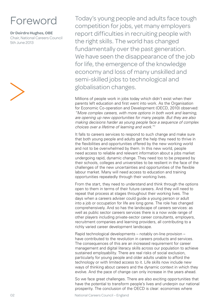# Foreword

### **Dr Deirdre Hughes, OBE**

Chair, National Careers Council 5th June 2013

Today's young people and adults face tough competition for jobs, yet many employers report difficulties in recruiting people with the right skills. The world has changed fundamentally over the past generation. We have seen the disappearance of the job for life, the emergence of the knowledge economy and loss of many unskilled and semi-skilled jobs to technological and globalisation changes.

Millions of people work in jobs today which didn't exist when their parents left education and first went into work. As the Organisation for Economic Co-operation and Development (OECD, 2010) observed: *"More complex careers, with more options in both work and learning, are opening up new opportunities for many people. But they are also making decisions harder as young people face a sequence of complex choices over a lifetime of learning and work."1*

It falls to careers services to respond to such change and make sure that both young people and adults get the help they need to thrive in the flexibilities and opportunities offered by the new working world and not to be overwhelmed by them. In this new world, people need access to reliable and relevant information about a jobs market undergoing rapid, dynamic change. They need too to be prepared by their schools, colleges and universities to be resilient in the face of the challenges of the new uncertainties and opportunities of the flexible labour market. Many will need access to education and training opportunities repeatedly through their working lives.

From the start, they need to understand and think through the options open to them in terms of their future careers. And they will need to repeat that process at stages throughout their working lives. The days when a careers adviser could guide a young person or adult into a job or occupation for life are long gone. The role has changed comprehensively. And so has the landscape of careers services: as well as public sector careers services there is a now wide range of other players including private-sector career consultants, employers, recruitment companies and learning providers, all contributing to a richly varied career development landscape.

Rapid technological developments – notably on-line provision – have contributed to the revolution in careers products and services. The consequences of this are an increased requirement for career management and digital literacy skills across our population to achieve sustained employability. There are real risks of social exclusion, particularly for young people and older adults unable to afford the technology or with limited access to it. Life skills now include new ways of thinking about careers and the dynamic context in which they evolve. And the pace of change can only increase in the years ahead.

So we face great challenges. There are also exciting opportunities that have the potential to transform people's lives and underpin our national prosperity. The conclusion of the OECD is clear: economies where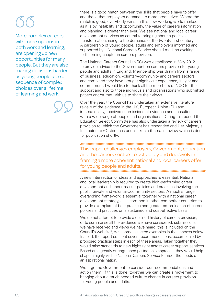More complex careers, with more options in both work and learning, are opening up new opportunities for many people. But they are also making decisions harder as young people face a sequence of complex choices over a lifetime of learning and work.<sup>1</sup>

there is a good match between the skills that people have to offer and those that employers demand are more productive<sup>2</sup>. Where the match is good, everybody wins. In this new working world marked as it is by instability and opportunity, the value of careers information and planning is greater than ever. We see national and local career development services as central to bringing about a positive transformation, rising to the demands of the twenty-first century. A partnership of young people, adults and employers informed and supported by a National Careers Service should mark an exciting forthcoming chapter in careers provision.

The National Careers Council (NCC) was established in May 2012 to provide advice to the Government on careers provision for young people and adults in England. Membership was drawn from a range of business, education, voluntary/community and careers sectors and combined they have brought significant experience, insight and commitment. I would like to thank all the members of NCC for their support and also to those individuals and organisations who submitted papers and/or met with us to share their views.

Over the year, the Council has undertaken an extensive literature review of the evidence in the UK, European Union (EU) and internationally, received submissions of evidence and consulted with a wide range of people and organisations. During this period the Education Select Committee has also undertaken a review of careers provision to which the Government has responded and Her Majesty's Inspectorate (Ofsted) has undertaken a thematic review which is due for publication shortly.

This paper challenges employers, Government, education and the careers sectors to act boldly and decisively in framing a more coherent national and local careers offer for young people and adults.

A new intersection of ideas and approaches is essential. National and local leadership is required to create high-performing career development and labour market policies and practices involving the public, private and voluntary/community sectors. A much stronger overarching framework is essential together with a national career development strategy, as is common in other competitor countries to provide exemplars of best practice and greater co-ordination of careers policies and practices on a sustained and cost-effective basis.

We do not attempt to provide a detailed history of careers provision, or to summarise all the evidence we have considered, submissions we have received and views we have heard: this is included on the Council's website<sup>3</sup>, with some selected examples in the annexes below. Instead, the report sets out seven recommendations, accompanied by proposed practical steps in each of these areas. Taken together they would raise standards to new highs right across career support services. Based on a greatly strengthened partnership approach, they would help shape a highly visible National Careers Service to meet the needs of an aspirational nation.

We urge the Government to consider our recommendations and act on them. If this is done, together we can create a movement to bringing about a much needed culture change in careers provision for young people and adults.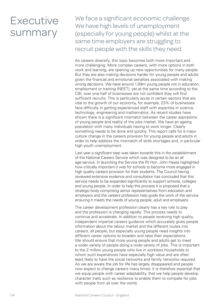# **Executive** summary

We face a significant economic challenge. We have high levels of unemployment (especially for young people) whilst at the same time employers are struggling to recruit people with the skills they need.

As careers diversify, this topic becomes both more important and more challenging. More complex careers, with more options in both work and learning, are opening up new opportunities for many people. But they are also making decisions harder for young people and adults given the financial and emotional penalties associated with making wrong decisions. We have around 1.09m young people not in education, employment or training (NEET), yet at the same time according to the CBI, over one-half of businesses are not confident they will find sufficient recruits. This is particularly acute in certain sectors that are vital to the growth of our economy, for example, 23% of businesses face difficulty in getting experienced staff with expertise in science, technology, engineering and mathematics. As recent studies have shown there is a significant mismatch between the career aspirations of young people and reality of the jobs market. We have an ageing population with many individuals having to work longer. Clearly something needs to be done and quickly. This report calls for a major culture change in the careers provision for young people and adults in order to help address the mismatch of skills shortages and, in particular high youth unemployment.

Last year a significant step was taken towards this in the establishment of the National Careers Service which was designed to be an all age service. In launching the Service the Rt Hon. John Hayes highlighted how critically important it was for schools to become more engaged in high quality careers provision for their students. The Council having reviewed extensive evidence and consultation has concluded that this service needs to be expanded significantly to support schools, colleges and young people. In order to help this process it is proposed that a strategic body comprising senior representatives from education and employers and the careers profession help guide the work of the service ensuring it meets the needs of young people, adult and employers.

The career development profession clearly has a key role to play and the profession is changing rapidly. This process needs to continue and accelerate. In addition to people receiving high quality, independent impartial careers guidance which accurately gives people information about the labour market and the different routes into careers, all people, but especially young people need insights into different career options to broaden and raise their expectations. We should ensure that more young people and adults get to meet a wider variety of people doing a wide variety of jobs. This is important to the 2 million young people who live in workless households to whom such experiences have especially high value and are often least likely to have the social networks and family networks required. As we are aware the job for life has largely disappeared and people now expect to change careers many times: it is therefore essential that we equip people with career adaptability, that we help people develop character traits such as resilience to enable them to compete for jobs with people from all over the world.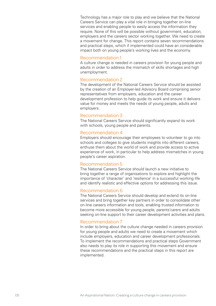Technology has a major role to play and we believe that the National Careers Service can play a vital role in bringing together on-line services and enabling people to easily access the information they require. None of this will be possible without government, education, employers and the careers sector working together. We need to create a movement for change. This report contains seven recommendations and practical steps, which if implemented could have an considerable impact both on young people's working lives and the economy.

### Recommendation 1

A culture change is needed in careers provision for young people and adults in order to address the mismatch of skills shortages and high unemployment.

### Recommendation 2

The development of the National Careers Service should be assisted by the creation of an Employer-led Advisory Board comprising senior representatives from employers, education and the career development profession to help guide its work and ensure it delivers value for money and meets the needs of young people, adults and employers.

### Recommendation 3

The National Careers Service should significantly expand its work with schools, young people and parents.

### Recommendation 4

Employers should encourage their employees to volunteer to go into schools and colleges to give students insights into different careers, enthuse them about the world of work and provide access to active experience of work, in particular to help address mismatches in young people's career aspiration.

### Recommendation 5

The National Careers Service should launch a new initiative to bring together a range of organisations to explore and highlight the importance of 'character' and 'resilience' in a successful working life and identify realistic and effective options for addressing this issue.

### Recommendation 6

The National Careers Service should develop and extend its on-line services and bring together key partners in order to consolidate other on-line careers information and tools, enabling trusted information to become more accessible for young people, parents'carers and adults seeking on-line support to their career development activities and plans.

### Recommendation 7

In order to bring about the culture change needed in careers provision for young people and adults we need to create a movement which include employers, education and career development professionals. To implement the recommendations and practical steps Government also needs to play its role in supporting this movement and ensure these recommendations and the practical steps in this report are implemented.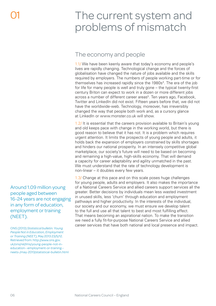# The current system and problems of mismatch

# The economy and people

1.1/ We have been keenly aware that today's economy and people's lives are rapidly changing. Technological change and the forces of globalisation have changed the nature of jobs available and the skills required by employers. The numbers of people working part-time or for themselves has increased rapidly since the 1980s<sup>4</sup>. The era of the job for life for many people is well and truly gone – the typical twenty-first century Briton can expect to work in a dozen or more different jobs across a number of different career areas<sup>5</sup>. Ten years ago, Facebook, Twitter and LinkedIn did not exist. Fifteen years before that, we did not have the worldwide-web. Technology, moreover, has irreversibly changed the way that people both work and, as a cursory glance at LinkedIn or www.monster.co.uk will show.

1.2/ It is essential that the careers provision available to Britain's young and old keeps pace with change in the working world, but there is good reason to believe that it has not. It is a problem which requires urgent attention. It limits the prospects of young people and adults, it holds back the expansion of employers constrained by skills shortages and hinders our national prosperity. In an intensely competitive global marketplace, our society's future will need to be based on becoming and remaining a high-value, high-skills economy. That will demand a capacity for career adaptability and agility unmatched in the past. We must understand that the rate of technology development is non-linear – it doubles every few years.

1.3/ Change at this pace and on this scale poses huge challenges for young people, adults and employers. It also makes the importance of a National Careers Service and allied careers support services all the greater. Better decisions by individuals mean less wasted investment in unused skills, less 'churn' through education and employment pathways and higher productivity. In the interests of the individual, our society and our economy, we must ensure we develop talent to the full and use all that talent to best and most fulfilling effect. That means becoming an aspirational nation. To make the transition we need a fully fit-for-purpose National Careers Service and allied career services that have both national and local presence and impact.

Around 1.09 million young people aged between 16-24 years are not engaging in any form of education, employment or training (NEET).

ONS (2013) *Statistical bulletin: Young People Not in Education, Employment or Training (NEET)*, May 2013 23/5/12. Retrieved from: http://www.ons.gov. uk/ons/rel/lms/young-people-not-ineducation--employment-or-training- neets-/may-2013/statistical-bulletin.html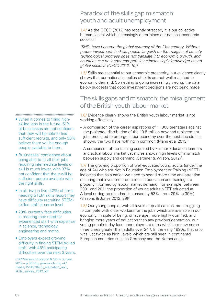# Paradox of the skills gap mismatch: youth and adult unemployment

1.4/ As the OECD (2012) has recently stressed, it is our collective human capital which increasingly determines our national economic success:

*'Skills have become the global currency of the 21st century. Without proper investment in skills, people languish on the margins of society technological progress does not translate into economic growth, and countries can no longer compete in an increasingly knowledge-based global society.' (OECD 2012, 10)*<sup>6</sup>

1.5/ Skills are essential to our economic prosperity, but evidence clearly shows that our national supplies of skills are not well matched to economic demand. Something is going increasingly wrong: the data below suggests that good investment decisions are not being made.

# The skills gaps and mismatch: the misalignment of the British youth labour market

1.6/ Evidence clearly shows the British youth labour market is not working effectively:

- A comparison of the career aspirations of 11,000 teenagers against the projected distribution of the 13.5 million new and replacement jobs predicted to emerge in our economy over the next decade has shown, the two have nothing in common (Mann et al 2013)<sup>7</sup>
- A comparison of the training acquired by Further Education learners and actual labour market vacancies shows high levels of mismatch between supply and demand (Gardiner & Wilson, 2012)<sup>8</sup>.

1.7/ The growing proportion of well-educated young adults (under the age of 24) who are Not in Education Employment or Training (NEET) indicates that as a nation we need to spend more time and attention ensuring that investment decisions in education and training are properly informed by labour market demand. For example, between 2001 and 2011 the proportion of young adults NEET educated at A level or degree standard increased by 53% (from 29% to 39%) (Sissons & Jones 2012, 29)9.

1.8/ Our young people, with all levels of qualifications, are struggling to compete with older workers for the jobs which are available in our economy. In spite of being, on average, more highly qualified, and bringing more years of education than any previous generation, our young people today face unemployment rates which are now some three times greater than adults over 2410. In the early 1990s, that ratio was just twice as high, levels which are still seen in continental European countries such as Germany and the Netherlands.

- nnnnnmmmmmmmmmmmmmmmmm • When it comes to filling highskilled jobs in the future, 51% of businesses are not confident that they will be able to find sufficient recruits, and only 36% believe there will be enough people available to them.
- Businesses' confidence about being able to fill all their jobs requiring intermediate levels of skill is much lower, with 37% not confident that there will be sufficient people available with the right skills.
- In all, two in five (42%) of firms needing STEM skills report they have difficulty recruiting STEMskilled staff at some level.
- 23% currently face difficulties in meeting their need for experienced staff with expertise in science, technology, engineering and maths.
- Employers expect growing difficulty in finding STEM skilled staff, with 45% anticipating difficulties over the next 3 years.

CBI/Pearson Education & Skills Survey, 2012 – p.38 http://www.cbi.org.uk/ media/1514978/cbi\_education\_and\_ skills\_survey\_2012.pdf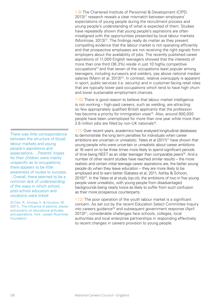1.9/ The Chartered Institute of Personnel & Development (CIPD, 2013)<sup>11</sup> research reveals a clear mismatch between employers' expectations of young people during the recruitment process and young people's understanding of what is expected of them. Studies have repeatedly shown that young people's aspirations are often misaligned with the opportunities presented by local labour markets (Montrose, 2013)<sup>12</sup>. The findings really do matter as they present compelling evidence that the labour market is not operating efficiently and that prospective employees are not receiving the right signals from employers about the availability of jobs. The recently published career aspirations of 11,000 English teenagers showed that the interests of more than one third (36.3%) reside in just 10 highly competitive occupations<sup>13</sup> and that seven of the occupations least popular among teenagers, including surveyors and welders, pay above national median salaries (Mann et al. 2013)<sup>14</sup>. In contrast, relative oversupply is apparent in sport, public services (i.e. security) and in customer-facing retail roles that are typically lower paid occupations which tend to have high churn and lower sustainable employment chances.

1.10/ There is good reason to believe that labour market intelligence is not working – high-paid careers, such as welding, are attracting so few appropriately qualified British applicants that the profession has become a priority for immigration visas<sup>15</sup>. Also, around 900,000 people have been unemployed for more than one year while more than 2.6 million jobs are filled by non-UK nationals<sup>16</sup>.

1.11/ Over recent years, academics have analysed longitudinal databases to demonstrate the long term penalties for individuals when career ambitions are uncertain or unrealistic. Yates et al (2011)17 have shown that young people who were uncertain or unrealistic about career ambitions at 16 went on to be three times more likely to spend significant periods of time being NEET as an older teenager than comparable peers<sup>18</sup>. And a number of other recent studies have reached similar results – the more realistic and certain initial teenage career aspirations are, the better young people do when they leave education – they are more likely to be employed and to earn better (Sabates et al, 2011; Ashby & Schoon, 2010)19. In the Yates et al study (op.cit), the ambitions of two in five young people were unrealistic, with young people from disadvantaged backgrounds being nearly twice as likely to suffer from such confusion as their more prosperous counterparts.

1.12/ The poor operation of the youth labour market is a significant concern. As set out by the recent Education Select Committee Inquiry into careers quidance<sup>20</sup> and subsequent government response (April 2013)21, considerable challenges face schools, colleges, local authorities and local enterprise partnerships in responding effectively to recent changes in careers provision to young people.

There was little correspondence between the structure of [local] labour markets and young people's aspirations and expectations. ...Parents' hopes for their children were mainly unspecific as to occupations; there appears to be little awareness of routes to success. ...Overall, there seemed to be a common lack of understanding of the ways in which school, post-school education and vocations were linked

St Clair, R., Kintrea, K. & Houston, M. (2011)., The influence of parents, places and poverty on educational attitudes and aspirations. York: Joseph Rowntree Foundation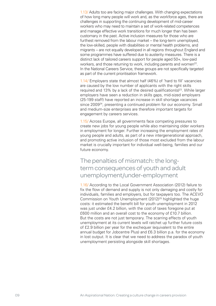1.13/ Adults too are facing major challenges. With changing expectations of how long many people will work and, as the workforce ages, there are challenges in supporting the continuing development of mid-career workers who may need to maintain a set of work-related competences and manage effective work transitions for much longer than has been customary in the past. Active inclusion measures for those who are furthest removed from the labour market – the long-term unemployed, the low-skilled, people with disabilities or mental health problems, and migrants – are not equally developed in all regions throughout England and some programmes have suffered due to austerity measures. There is a distinct lack of tailored careers support for people aged 50+, low-paid workers, and those returning to work, including parents and women<sup>22</sup>. In the National Careers Service, these groups are not specifically targeted as part of the current prioritisation framework.

1.14/ Employers state that almost half (46%) of 'hard to fill' vacancies are caused by the low number of applicants with the right skills required and 13% by a lack of the desired qualification( $s$ )<sup>23</sup>. While larger employers have seen a reduction in skills gaps, mid-sized employers (25-199 staff) have reported an increase in skill shortage vacancies since 2009<sup>24</sup>, presenting a continued problem for our economy. Small and medium-size enterprises are therefore important targets for engagement by careers services.

1.15/ Across Europe, all governments face competing pressures to create new jobs for young people while also maintaining older workers in employment for longer. Further increasing the employment rates of young people and adults, as part of a new intergenerational approach, and promoting active inclusion of those most excluded from the labour market is crucially important for individual well-being, families and our future economy.

The penalties of mismatch: the longterm consequences of youth and adult unemployment/under-employment

1.16/ According to the Local Government Association (2012) failure to fix the flow of demand and supply is not only damaging and costly for individuals, families and employers, but for taxpayers too. The ACEVO Commission on Youth Unemployment (2012)<sup>25</sup> highlighted the huge costs: it estimated the benefit bill for youth unemployment in 2012 was just under £4.2 billion, with the cost of taxes foregone put at £600 million and an overall cost to the economy of £10.7 billion. But the costs are not just temporary. The scarring effects of youth unemployment at its current levels will ratchet up further future costs of £2.9 billion per year for the exchequer (equivalent to the entire annual budget for Jobcentre Plus) and £6.3 billion p.a. for the economy in lost output. It is clear that we need to address the paradox of youth unemployment persisting alongside skill shortages.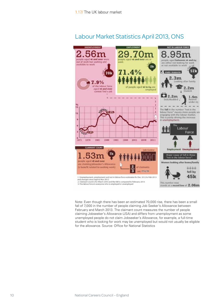# Labour Market Statistics April 2013, ONS



Note: Even though there has been an estimated 70,000 rise, there has been a small fall of 7,000 in the number of people claiming Job Seeker's Allowance between February and March 2013. The claimant count measures the number of people claiming Jobseeker's Allowance (JSA) and differs from unemployment as some unemployed people do not claim Jobseeker's Allowance, for example, a full-time student who is looking for work may be unemployed but would not usually be eligible for the allowance. Source: Office for National Statistics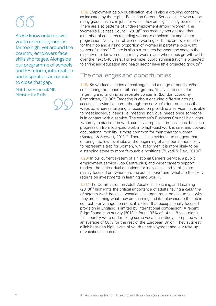As we know only too well, youth unemployment is far too high; yet around the country, employers face skills shortages. Alongside our programme of schools and FE reform, information and inspiration are crucial to close that gap.

Matthew Hancock MP, Minister for Skills

1.18/ Employment below qualification level is also a growing concern, as indicated by the Higher Education Careers Service Unit<sup>26</sup> who report many graduates are in jobs for which they are significantly over-qualified. There are also patterns of under-employment among women. The Women's Business Council (2013)<sup>27</sup> has recently brought together a number of concerns regarding women's employment and career progression. Nearly half of women working part-time are over-qualified for their job and a rising proportion of women in part-time jobs want to work full-time<sup>28</sup>. There is also a mismatch between the sectors the majority of older women currently work in and where jobs growth will be over the next 5-10 years. For example, public administration is projected to shrink and education and health sector have little projected growth<sup>29</sup>.

# The challenges and opportunities

1.19/ So we face a series of challenges and a range of needs. When considering the needs of different groups, 'it is vital to consider targeting and tailoring as separate concerns' (London Economy Committee, 2013)<sup>30</sup>. Targeting is about ensuring different groups access a service i.e. come through the service's door or access their website, whereas tailoring is focused on providing a service that is able to meet individual needs i.e. meeting individual needs once someone is in contact with a service. The Women's Business Council highlights 'where you start out in work can have important implications, because progression from low-paid work into high-paid work is rare, and upward occupational mobility is more common for men than for women' (Bastagli & Stewart, 2011)<sup>31</sup>. There is also evidence to suggest that entering into low level jobs at the beginning of a career is more likely to represent a trap for women, whilst for men it is more likely to be a stepping stone to more favourable positions (Bukodi & Dex, 2010)<sup>32</sup>.

1.20/ In our current system of a National Careers Service, a public employment service (Job Centre plus) and wider careers support market, the critical dual questions for individuals and families are mainly focused on 'where are the actual jobs?' and 'what are the likely returns on investments in learning and work?'.

1.21/ The Commission on Adult Vocational Teaching and Learning (2013)33 highlights the critical importance of adults having a *clear line of sight* to work because vocational learners must be able to see why they are learning what they are learning and its relevance to the job in context. For younger learners, it is clear that occupationally focused provision in England is limited by international comparison. A recent Edge Foundation survey (2013)<sup>34</sup> found 32% of 14 to 18-year-olds in this country were undertaking some vocational study, compared with an average of 50% for the rest of the European Union. They suggest a link between high levels of youth unemployment and low take-up of vocational courses.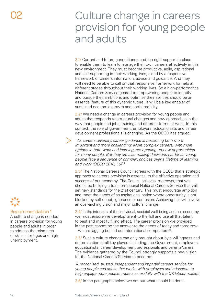# Culture change in careers provision for young people and adults

2.1/ Current and future generations need the right support in place to enable them to learn to manage their own careers effectively in this new environment. They must become productive, agile, aspirational and self-supporting in their working lives, aided by a responsive framework of careers information, advice and guidance. And they will need to be able to call on that responsive framework for help at different stages throughout their working lives. So a high-performance National Careers Service geared to empowering people to identify and pursue their ambitions and optimise their abilities should be an essential feature of this dynamic future. It will be a key enabler of sustained economic growth and social mobility.

2.2/ We need a change in careers provision for young people and adults that responds to structural changes and new approaches in the way that people find jobs, training and different forms of work. In this context, the role of government, employers, educationists and career development professionals is changing. As the OECD has argued:

*''As careers diversify, career guidance is becoming both more important and more challenging: More complex careers, with more options in both work and learning, are opening up new opportunities*  for many people. But they are also making decisions harder as young *people face a sequence of complex choices over a lifetime of learning and work (OECD 2010, 16)35*

2.3/ The National Careers Council agrees with the OECD that a strategic approach to careers provision is essential to the effective operation and success of our economy. The Council believes, moreover, that we should be building a transformational National Careers Service that will set new standards for the 21st century. This must encourage ambition and meet the needs of an aspirational nation where opportunity is not blocked by self doubt, ignorance or confusion. Achieving this will involve an over-arching vision and major cultural change.

2.4/ In the interests of the individual, societal well-being and our economy, we must ensure we develop talent to the full and use all that talent to best and most fulfilling effect. The career provision we provided in the past cannot be the answer to the needs of today and tomorrow – we are lagging behind our international competitors $36$ .

2.5/ Such a culture change can only brought about by a willingness and determination of all key players including: the Government, employers, educationists, career development professionals and parents/carers. The evidence gathered by the Council strongly supports a new vision for the National Careers Service to become:

*'A recognised, trusted, independent and impartial careers service for young people and adults that works with employers and educators to help engage more people, more successfully with the UK labour market.'*

2.6/ In the paragraphs below we set out what should be done.

### Recommendation 1

A culture change is needed in careers provision for young people and adults in order to address the mismatch of skills shortages and high unemployment.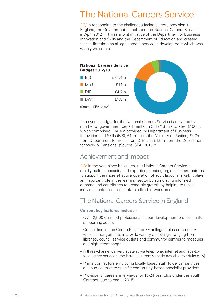# The National Careers Service

2.7/ In responding to the challenges facing careers provision in England, the Government established the National Careers Service in April 2012<sup>37</sup>. It was a joint initiative of the Department of Business Innovation and Skills and the Department of Education and created for the first time an all-age careers service, a development which was widely welcomed.

### **National Careers Service Budget 2012/13**

| LI BIS       | f84.4m |
|--------------|--------|
| $M_{\Omega}$ | f14m   |
| $\Box$ DfF   | f4.7m  |
| <b>■ DWP</b> | f1.5m  |



(Source: SFA, 2013)

The overall budget for the National Careers Service is provided by a number of government departments. In 2012/13 this totalled £106m, which comprised £84.4m provided by Department of Business Innovation and Skills (BiS), £14m from the Ministry of Justice, £4.7m from Department for Education (DfE) and £1.5m from the Department for Work & Pensions. (Source: SFA, 2013)<sup>38</sup>

## Achievement and impact

2.8/ In the year since its launch, the National Careers Service has rapidly built up capacity and expertise, creating regional infrastructures to support the more effective operation of adult labour market. It plays an important role in the learning sector by stimulating informed demand and contributes to economic growth by helping to realise individual potential and facilitate a flexible workforce.

# The National Careers Service in England

### **Current key features include:-**

- Over 2,500 qualified professional career development professionals supporting adults
- Co-location in Job Centre Plus and FE colleges, plus community walk-in arrangements in a wide variety of settings, ranging from libraries, council service outlets and community centres to mosques and high street shops
- A three-channel delivery system, via telephone, internet and face-toface career services (the latter is currently made available to adults only)
- Prime contractors employing locally based staff to deliver services and sub contract to specific community-based specialist providers
- Provision of careers interviews for 18-24 year olds under the Youth Contract (due to end in 2015)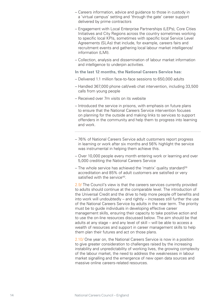- Careers information, advice and guidance to those in custody in a 'virtual campus' setting and 'through the gate' career support delivered by prime contractors
- Engagement with Local Enterprise Partnerships (LEPs), Core Cities Initiatives and City Regions across the country sometimes working to specific local KPIs, sometimes with specific local Service Level Agreements (SLAs) that include, for example, careers fairs and recruitment events and gathering local labour market intelligence/ information (LMI).
- Collection, analysis and dissemination of labour market information and intelligence to underpin activities.

**In the last 12 months, the National Careers Service has:**

- Delivered 1.1 million face-to-face sessions to 650,000 adults
- Handled 367,000 phone call/web chat intervention, including 33,500 calls from young people
- Received over 7m visits on its website
- Introduced the service in prisons, with emphasis on future plans to ensure that the National Careers Service intervention focuses on planning for the outside and making links to services to support offenders in the community and help them to progress into learning and work.

- 76% of National Careers Service adult customers report progress in learning or work after six months and 56% highlight the service was instrumental in helping them achieve this.
- Over 10,000 people every month entering work or learning and over 5,000 crediting the National Careers Service
- The whole service has achieved the 'matrix' quality standard<sup>39</sup> accreditation and 85% of adult customers are satisfied or very satisfied with the service<sup>40</sup>.

2.9/ The Council's view is that the careers services currently provided to adults should continue at the comparable level. The introduction of the Universal Credit and the drive to help more people off benefits and into work will undoubtedly – and rightly – increases still further the use of the National Careers Service by adults in the near term. The priority must be to guide individuals in developing effective career management skills, ensuring their capacity to take positive action and to use the on-line resources discussed below. The aim should be that adults at any stage – and any level of skill – will be able to access a wealth of resources and support in career management skills to help them plan their futures and act on those plans.

2.10/ One year on, the National Careers Service is now in a position to give greater consideration to challenges raised by the increasing instability and unpredictability of working lives, the growing complexity of the labour market, the need to address the weaknesses in labour market signalling and the emergence of new open data sources and massive online careers-related resources.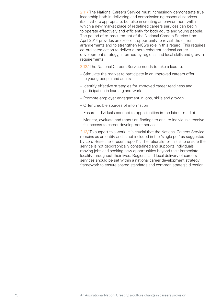2.11/ The National Careers Service must increasingly demonstrate true leadership both in delivering and commissioning essential services itself where appropriate, but also in creating an environment within which a new market place of redefined careers services can begin to operate effectively and efficiently for both adults and young people. The period of re-procurement of the National Careers Service from April 2014 provides an excellent opportunity to revisit the current arrangements and to strengthen NCS's role in this regard. This requires co-ordinated action to deliver a more coherent national career development strategy, informed by regional and local skills and growth requirements.

2.12/ The National Careers Service needs to take a lead to:

- Stimulate the market to participate in an improved careers offer to young people and adults
- Identify effective strategies for improved career readiness and participation in learning and work
- Promote employer engagement in jobs, skills and growth
- Offer credible sources of information
- Ensure individuals connect to opportunities in the labour market
- Monitor, evaluate and report on findings to ensure individuals receive fair access to career development services.

2.13/ To support this work, it is crucial that the National Careers Service remains as an entity and is not included in the 'single pot' as suggested by Lord Heseltine's recent report<sup>41</sup>. The rationale for this is to ensure the service is not geographically constrained and supports individuals moving jobs and seeking new opportunities beyond their immediate locality throughout their lives. Regional and local delivery of careers services should be set within a national career development strategy framework to ensure shared standards and common strategic direction.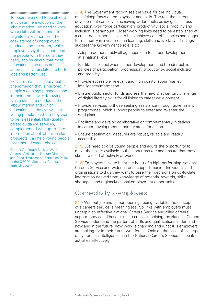### nnnnnnnnnnmmmmmmmmmmmmmm

To begin, we need to be able to anticipate the evolution of the labour market: we need to know what skills will be needed to reignite our economies. The coexistence of unemployed graduates on the street, while employers say they cannot find the people with the skills they need, shows clearly that more education alone does not automatically translate into better jobs and better lives.

Skills mismatch is a very real phenomenon that is mirrored in people's earnings prospects and in their productivity. Knowing which skills are needed in the labour market and which educational pathways will get young people to where they want to be is essential. High-quality career guidance services, complemented with up-to-date information about labour-market prospects, can help young people make sound career choices.

Getting Our Youth Back to Work, Andreas Schleicher, Deputy Director and Special Advisor on Education Policy to the OECD's Secretary-General, 28th May 2013

2.14/ The Government recognises the value for the individual of a lifelong focus on employment and skills. The role that career development can play in achieving wider public policy goals across education, workforce participation, productivity, social mobility and inclusion is paramount. Closer working links need to be established at a cross-departmental level to help achieve cost efficiencies and longerterm stability in investment in learning, skills and work. Our findings suggest the Government's role is to:

- Adopt a demonstrably all-age approach to career development at a national level
- Facilitate links between career development and broader public policies of participation, progression, productivity, social inclusion and mobility
- Provide accessible, relevant and high quality labour market intelligence/information
- Ensure public sector funds address the new 21st century challenge of digital literacy skills for all linked to career development
- Provide services to those seeking assistance through government programmes which support people to enter and re-enter the workplace
- Facilitate and develop collaborative or complementary initiatives in career development in priority areas for action
- Ensure destination measures are robust, reliable and readily accessible.

2.15/ We need to give young people and adults the opportunity to make their skills available to the labour market; and ensure that those skills are used effectively at work.

2.16/ Employers have to be at the heart of a high-performing National Careers Service and wider careers support market. Individuals and organisations told us they want to base their decisions on up-to-date information derived from knowledge of potential rewards, skills shortages and regional/national employment opportunities.

## Connectivity to employers

2.17/ Without job and career openings being available, the concept of a careers service is meaningless. So links with employers must underpin an effective National Careers Service and allied careers support services. Those links are critical in helping the National Careers Service understand the pattern of skills and qualifications in demand now and in the future, how work is changing and what it is employers are looking for in their future workforces. Only on the basis of this type of systematic intelligence can the National Careers Service shape its activities effectively.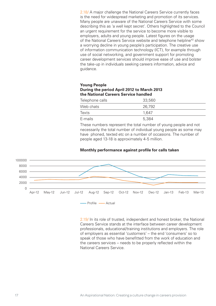2.18/ A major challenge the National Careers Service currently faces is the need for widespread marketing and promotion of its services. Many people are unaware of the National Careers Service with some describing this as 'a well kept secret'. Others highlighted to the Council an urgent requirement for the service to become more visible to employers, adults and young people. Latest figures on the usage of the National Careers Service website and telephone helpline<sup>42</sup> show a worrying decline in young people's participation. The creative use of information communication technology (ICT), for example through use of social networking, and government support for promoting career development services should improve ease of use and bolster the take-up in individuals seeking careers information, advice and guidance.

### **Young People During the period April 2012 to March 2013 the National Careers Service handled**

| Telephone calls | 33,560 |  |
|-----------------|--------|--|
| Web chats       | 26,792 |  |
| Texts           | 1.647  |  |
| E-mails         | 5,384  |  |

These numbers represent the total number of young people and not necessarily the total number of individual young people as some may have phoned, texted etc on a number of occasions. The number of people aged 13-18 is approximately 4-5 million.



**Monthly performance against profile for calls taken**

2.19/ In its role of trusted, independent and honest broker, the National Careers Service stands at the interface between career development professionals, educational/training institutions and employers. The role of employers as essential 'customers' – the end 'consumers' so to speak of those who have benefitted from the work of education and the careers services – needs to be properly reflected within the National Careers Service.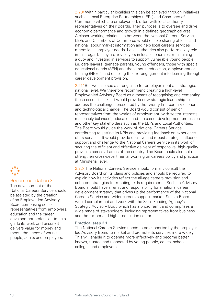2.20/ Within particular localities this can be achieved through initiatives such as Local Enterprise Partnerships (LEPs) and Chambers of Commerce which are employer-led, often with local authority representatives on their Boards. Their purpose is to oversee and drive economic performance and growth in a defined geographical area. A closer working relationship between the National Careers Service, LEPs and Chambers of Commerce would enable sharing of local and national labour market information and help local careers services meets local employer needs. Local authorities also perform a key role in this regard. They are key players in local economies, maintaining a duty and investing in services to support vulnerable young people i.e. care leavers, teenage parents, young offenders, those with special educational needs (SEN) and those not in education, employment or training (NEET), and enabling their re-engagement into learning through career development provision.

2.21/ But we also see a strong case for employer input at a strategic. national level. We therefore recommend creating a high-level Employer-led Advisory Board as a means of recognising and cementing those essential links. It would provide new strategic leadership to address the challenges presented by the twenty-first century economic and technological change. The Board would consist of senior representatives from the worlds of employment (with sector interests reasonably balanced), education and the career development profession and other key stakeholders such as the LEPs and Local Authorities. The Board would guide the work of National Careers Service, contributing to setting its KPIs and providing feedback on experience of its services. It would provide decisive and robust strategic influence, support and challenge to the National Careers Service in its work of securing the efficient and effective delivery of responsive, high-quality provision across all areas of the country. The Board could also help strengthen cross-departmental working on careers policy and practice at Ministerial level.

2.22/ The National Careers Service should formally consult the Advisory Board on its plans and policies and should be required to explain how its activities reflect the all-age careers provision and coherent strategies for meeting skills requirements. Such an Advisory Board should have a remit and responsibility for a national career development strategy that drives up the performance of the National Careers Service and wider careers support market. Such a Board would complement and work with the Skills Funding Agency's Strategic Advisory Body which has a broad remit and comnprises a wide range of stakeholders, including representatives from business and the further and higher education sector.

### **Practical step 2.1**

The National Careers Service needs to be supported by the employerled Advisory Board to market and promote its services more widely. This will enable it to operate more effectively and become better known, trusted and respected by young people, adults, schools, colleges and employers.

### Recommendation 2

The development of the National Careers Service should be assisted by the creation of an Employer-led Advisory Board comprising senior representatives from employers, education and the career development profession to help guide its work and ensure it delivers value for money and meets the needs of young people, adults and employers.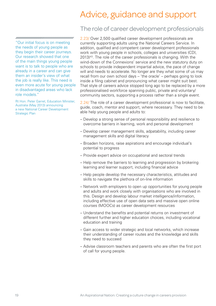# Advice, guidance and support

"Our initial focus is on meeting the needs of young people as they begin their career journeys. Our research showed that one of the main things young people want is to talk to people who are already in a career and can give them an insider's view of what the job is really like. This need is even more acute for young people in disadvantaged areas who lack role models."

Rt Hon. Peter Garret, Education Minister, Australia (May 2013) announcing a new National Career Development Strategic Plan

## The role of career development professionals

2.23/ Over 2,500 qualified career development professionals are currently supporting adults using the National Careers Service. In addition, qualified and competent career development professionals work with young people in schools, colleges and universities (CDI, 2013)<sup>43</sup>. The role of the career professionals is changing. With the wind-down of the Connexions' service and the new statutory duty on schools to provide independent impartial advice, the pace of change will and needs to accelerate. No longer are they what some of us may recall from our own school days – 'the oracle' – perhaps going to look inside a filing cabinet and pronouncing what career might suit best. That style of careers advice stopped long ago to be replaced by a more professionalised workforce spanning public, private and voluntary/ community sectors, supporting a process rather than a single event.

2.24/ The role of a career development professional is now to facilitate, guide, coach, mentor and support, where necessary. They need to be able help young people and adults to:

- Develop a strong sense of personal responsibility and resilience to overcome barriers in learning, work and personal development
- Develop career management skills, adpatability, including career management skills and digital literacy
- Broaden horizons, raise aspirations and encourage individual's potential to progress
- Provide expert advice on occupational and sectoral trends
- Help remove the barriers to learning and progression by brokering learning and learner support, including financial advice
- Help people develop the necessary characteristics, attitudes and skills to navigate the plethora of on-line information
- Network with employers to open up opportunities for young people and adults and work closely with organisations who are involved in this. Design and develop labour market intelligence/information, including effective use of open data sets and massive open online courses (MOOCs) as career development resources
- Understand the benefits and potential returns on investment of different further and higher education choices, including vocational education and training
- Gain access to wider strategic and local networks, which increase their understanding of career routes and the knowledge and skills they need to succeed
- Advise classroom teachers and parents who are often the first port of call for young people.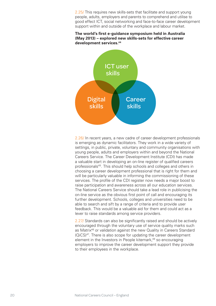2.25/ This requires new skills-sets that facilitate and support young people, adults, employers and parents to comprehend and utilise to good effect ICT, social networking and face-to-face career development support within and outside of the workplace and labour market.





2.26/ In recent years, a new cadre of career development professionals is emerging as dynamic facilitators. They work in a wide variety of settings, in public, private, voluntary and community organisations with young people, adults and employers within and beyond the National Careers Service. The Career Development Institute (CDI) has made a valuable start in developing an on-line register of qualified careers professionals<sup>45</sup>. This should help schools and colleges and others in choosing a career development professional that is right for them and will be particularly valuable in informing the commissioning of these services. The profile of the CDI register now needs a major boost to raise participation and awareness across all our education services. The National Careers Service should take a lead role in publicising the on-line service as the obvious first point of call and encouraging its further development. Schools, colleges and universities need to be able to search and sift by a range of criteria and to provide user feedback. This would be a valuable aid for them and could act as a lever to raise standards among service providers.

2.27/ Standards can also be significantly raised and should be actively encouraged through the voluntary use of service quality marks such as Matrix46 or validation against the new Quality in Careers Standard (QiCS)47. There is also scope for updating the career development element in the Investors in People kitemark,<sup>48</sup> so encouraging employers to improve the career development support they provide to their employees in the workplace.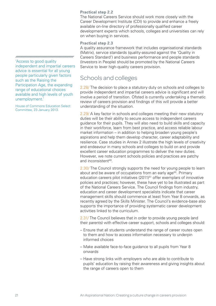### **Practical step 2.2**

The National Careers Service should work more closely with the Career Development Institute (CDI) to provide and enhance a freely available on-line directory of professionally qualified career development experts which schools, colleges and universities can rely on when buying in services.

### **Practical step 2.3**

A quality assurance framework that includes organisational standards (Matrix), service standards (quality-assured against the 'Quality in Careers Standard') and business performance and people standards (Investors in People) should be promoted by the National Careers Service to lever high-quality careers provision.

## Schools and colleges

2.28/ The decision to place a statutory duty on schools and colleges to provide independent and impartial careers advice is significant and will involve a period of transition. Ofsted is currently undertaking a thematic review of careers provision and findings of this will provide a better understanding of the situation.

2.29/ A key factor in schools and colleges meeting their new statutory duties will be their ability to secure access to independent careers guidance for their pupils. They will also need to build skills and capacity in their workforce, learn from best practice, and access reliable labour market information – in addition to helping broaden young people's aspirations and help them develop character, career adaptability and resilience. Case studies in Annex 2 illustrate the high levels of creativity and endeavour in many schools and colleges to build on and provide excellent career education programmes to deliver the new duties. However, we note current schools policies and practices are patchy and inconsistent<sup>49</sup>.

2.30/ The Council strongly supports the need for young people to learn about and be aware of occupations from an early age<sup>50</sup>. Primary education careers pilot initiatives (2011)<sup>51</sup> offer exemplars of innovative policies and practices; however, these have yet to be illustrated as part of the National Careers Service. The Council findings from industry, education and career development specialists indicate that career management skills should commence at least from Year 8 onwards, as recently agreed by the Skills Minister. The Council's evidence-base also supports the importance of providing systematic career development activities linked to the curriculum.

2.31/ The Council believes that in order to provide young people (and their parents) with effective career support, schools and colleges should:

- Ensure that all students understand the range of career routes open to them and how to access information necessary to underpin informed choices
- Make available face-to-face guidance to all pupils from Year 8 onwards
- Have strong links with employers who are able to contribute to pupils' education by raising their awareness and giving insights about the range of careers open to them

### 

'Access to good quality independent and impartial careers advice is essential for all young people particularly given factors such as the Raising the Participation Age, the expanding range of educational choices available and high levels of youth unemployment.'

House of Commons Education Select Committee, 23 January 2013.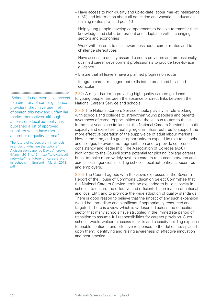- Have access to high-quality and up-to-date labour market intelligence (LMI) and information about all education and vocational education training routes pre- and post-16
- Help young people develop competences to be able to transfer their knowledge and skills, be resilient and adaptable within changing sectors and economies
- Work with parents to raise awareness about career routes and to challenge stereotypes
- Have access to quality-assured careers providers and professionally qualified career development professionals to provide face-to-face guidance
- Ensure that all leavers have a planned progression route
- Integrate career management skills into a broad and balanced curriculum.

2.32/ A major barrier to providing high quality careers guidance to young people has been the absence of direct links between the National Careers Service and schools.

2.33/ The National Careers Service should play a vital role working with schools and colleges to strengthen young people's and parents' awareness of career opportunities and the various routes to these. In the first year since its launch, the National Careers Service has built capacity and expertise, creating regional infrastructures to support the more effective operation of the supply-side of adult labour markets. Now is the time, and a great opportunity to expand its role to schools and colleges to overcome fragmentation and to provide coherence, consistency and leadership. The Association of Colleges (AoC) highlighted to the Council some potential for piloting 'college careers hubs' to make more widely available careers resources between and across local agencies including schools, local authorities, Jobcentres and employers.

2.34/ The Council agrees with the views expressed in the Seventh Report of the House of Commons Education Select Committee that the National Careers Service remit be expanded to build capacity in schools, to ensure the effective and efficient dissemination of national and local LMI, and to promote the wide adoption of quality standards. There is good reason to believe that the impact of any such expansion would be immediate and significant if appropriately resourced and targeted. There is a view which is widespread across the education sector that many schools have struggled in the immediate period of transition to assume full responsibilities for careers provision. Such schools would welcome access to skills and capacity building expertise to enable confident and effective responses to the duties now placed upon them, identifying and raising awareness of effective innovation and best practice.

'Schools do not even have access to a directory of career guidance providers: they have been left of search this new and unfamiliar market themselves, although at least one local authority has published a list of approved suppliers which have met a number of quality criteria.'

The future of careers work in schools in England: what are the options? A discussion paper by David Andrews (March, 2013) p.19 – http://www.thecdi. net/write/The\_future\_of\_careers\_work\_ in\_schools\_in\_England\_\_March\_2013. pdf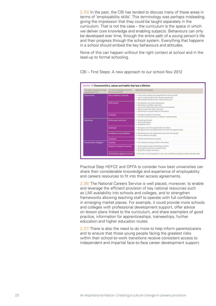2.35/ In the past, the CBI has tended to discuss many of these areas in terms of 'employability skills'. This terminology was perhaps misleading, giving the impression that they could be taught separately in the curriculum. That is not the case – the curriculum is the space in which we deliver core knowledge and enabling subjects. Behaviours can only be developed over time, through the entire path of a young person's life and their progress through the school system. Everything that happens in a school should embed the key behaviours and attitudes.

None of this can happen without the right context at school and in the lead-up to formal schooling.

Exhibit 19 **Characteristics, values and habits that last a lifetime** The system should encourage young people to be This means helping to instil the following attributes Pupils will, for example: Determined Grit, resilience, tenacity Finish tasks started and understand the value of work<br>Learn to take positives from failure experienced • Work independently and be solutions focused **Self-control •** Pay attention and resist distractions<br>• Remember and follow directions<br>• Ret to work right away rather than procrastinating<br>• Remain calm even when criticised<br>Allow others to speak without interruption Curiosity • Be eager to explore new things • Ask and answer questions to deepen understanding Optimistic **Enthusiasm and zest • Actively participate**<br>• Show enthusiasm **• Show enthusiasm • Show enthusiasm •**<br>• Invigorate others Gratitude • Recognise and show appreciation for others<br>• Recognise and show appreciation for their own opportunities Confidence and ambition • Be willing to try new experiences and meet new people<br>• Pursue dreams and goals **Creativity • Identify and develop new ideas** Emotionally intelligent Humility **Humility •** Find solutions during conflicts with others Respect and good manners • Demonstrate respect for feelings of others<br>• Know when and how to include others<br>• Be polite to adults and peers Sensitivity to global concerns • Be aware of pressing global issues, and contribute to leading society internationally

CBI – First Steps: A new approach to our school Nov 2012

Practical Step HEFCE and OFFA to consider how best universities can share their considerable knowledge and experience of employability and careers resources to fit into their access agreements.

2.36/ The National Careers Service is well placed, moreover, to enable and leverage the efficient provision of key national resources such as LMI availability into schools and colleges, and to strengthen frameworks allowing teaching staff to operate with full confidence in emerging market places. For example, it could provide more schools and colleges with professional development support, offer advice on lesson plans linked to the curriculum, and share exemplars of good practice, information for apprenticeships, traineeships, further education and higher education routes.

2.37/ There is also the need to do more to help inform parents/carers and to ensure that those young people facing the greatest risks within their school-to-work transitions receive consistent access to independent and impartial face-to-face career development support.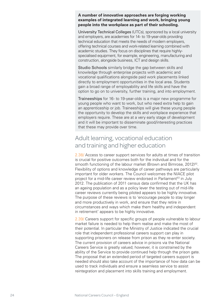### **A number of innovative approaches are forging working examples of integrated learning and work, bringing young people into the workplace as part of their schooling.**

University Technical Colleges (UTCs), sponsored by a local university and employers, are academies for 14- to 19-year-olds providing technical education that meets the needs of modern employers, offering technical courses and work-related learning combined with academic studies. They focus on disciplines that require highlyspecialised equipment, for example, engineering, manufacturing and construction, alongside business, ICT and design skills.

Studio Schools similarly bridge the gap between skills and knowledge through enterprise projects with academic and vocational qualifications alongside paid work placements linked directly to employment opportunities in the local area. Students gain a broad range of employability and life skills and have the option to go on to university, further training, and into employment.

Traineeships for 16- to 19-year-olds is a major new programme for young people who want to work, but who need extra help to gain an apprenticeship or job. Traineeships will give these young people the opportunity to develop the skills and workplace experience that employers require. These are at a very early stage of development and it will be important to disseminate good/interesting practices that these may provide over time.

# Adult learning, vocational education and training and higher education

2.38/ Access to career support services for adults at times of transition is crucial for positive outcomes both for the individual and for the smooth functioning of the labour market (Brown and Bimrose, 2012)<sup>52</sup>. Flexibility of options and knowledge of career pathways are particularly important for older workers. The Council welcomes the NIACE pilot project for a mid-life career review endorsed in Parliament<sup>53</sup> in July 2012. The publication of 2011 census data confirmed that the UK has an ageing population and as a policy lever the testing out of mid-life career reviews currently being piloted appears to be highly innovative. The purpose of these reviews is to 'encourage people to stay longer and more productively in work, and ensure that they retire in circumstances and ways which make them healthy and independent in retirement' appears to be highly innovative.

2.39/ Careers support for specific groups of people vulnerable to labour market failure is needed to help them realise and make the most of their potential. In particular the Ministry of Justice indicated the crucial role that independent professional careers support can play in supporting prisoners on release from prison as they re-enter society. The current provision of careers advice in prisons via the National Careers Service is greatly valued; however, it is constrained by the ability of the Service to provide continued help through the prison gate. The proposal that an extended period of targeted careers support is needed should also take account of the importance of how data can be used to track individuals and ensure a seamless service to assist reintegration and placement into skills training and employment.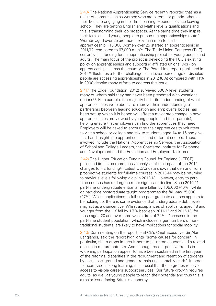2.40/ The National Apprenticeship Service recently reported that 'as a result of apprenticeships women who are parents or grandmothers in their 50's are engaging in their first learning experience since leaving school. They are getting English and Maths level 2 qualifications and this is transforming their job prospects. At the same time they inspire their families and young people to pursue the apprenticeships route.' Women aged over 25 are more likely than men to start an apprenticeship: 115,000 women over 25 started an apprenticeship in 2011/12, compared to 67,000 men<sup>54</sup>. The Trade Union Congress (TUC) currently has funding for an apprenticeship project for young people and adults. The main focus of the project is developing the TUC's existing policy on apprenticeships and supporting affiliated unions' work on apprenticeships across the country. The Peter Little report published in 201255 illustrates a further challenge i.e. a lower percentage of disabled people are accessing apprenticeships in 2012 (8%) compared with 11% in 2008 despite many efforts to address this issue.

2.41/ The Edge Foundation (2012) surveyed 500 A level students, many of whom said they had never been presented with vocational options56. For example, the majority had little understanding of what apprenticeships were about. To improve their understanding, a partnership between leading education and employer's bodies has been set up which it is hoped will effect a major step change in how apprenticeships are viewed by young people (and their parents), helping ensure that employers can find the apprentices they need. Employers will be asked to encourage their apprentices to volunteer to visit a school or college and talk to students aged 14 to 16 and give first hand insight into apprenticeships and different sectors. Those involved include the National Apprenticeship Service, the Association of School and College Leaders, the Chartered Institute for Personnel and Development and the Education and Employers Taskforce.

2.42/ The Higher Education Funding Council for England (HEFCE) published its first comprehensive analysis of the impact of the 2012 changes to HE funding<sup>57</sup>. Latest UCAS data shows that demand from prospective students for full-time courses in 2013-14 may be returning to previous levels following a dip in 2012-13. However, entry to parttime courses has undergone more significant decline. Since 2010-11, part-time undergraduate entrants have fallen by 105,000 (40%), while on part-time postgraduate taught programmes the fall was 25,000 (27%). Whilst applications to full-time post-graduate courses appears to be holding up, there is some evidence that undergraduate debt levels may act as a disincentive. Whilst acceptances of applicants aged 18 and younger from the UK fell by 1.7% between 2011-12 and 2012-13, for those aged 20 and over there was a drop of 7.1%. Decreases in the part-time student population, which includes larger numbers of nontraditional students, are likely to have implications for social mobility.

2.43/ Commenting on the report, HEFCE's Chief Executive, Sir Alan Langlands, said the report highlights "some causes for concern: in particular, sharp drops in recruitment to part-time courses and a related decline in mature entrants. And although recent positive trends in widening participation appear to have been sustained in the first year of the reforms, disparities in the recruitment and retention of students by social background and gender remain unacceptably stark". In order to incentivise lifelong learning, it is crucial that these groups receive access to visible careers support services. Our future growth requires adults, as well as young people to reach their potential and thus this is a major issue facing Britain's economy.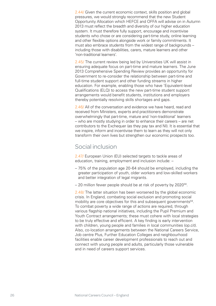2.44/ Given the current economic context, skills position and global pressures, we would strongly recommend that the new Student Opportunity Allocation which HEFCE and OFFA will advise on in Autumn 2013 must reflect the breadth and diversity of our higher education system. It must therefore fully support, encourage and incentivise students who chose or are considering part-time study, online learning and other flexible options alongside work or family commitments. It must also embrace students from the widest range of backgrounds – including those with disabilities, carers, mature learners and other 'non-traditional learners'.

2.45/ The current review being led by Universities UK will assist in ensuring adequate focus on part-time and mature learners. The June 2013 Comprehensive Spending Review provides an opportunity for Government to re-consider the relationship between part-time and full-time student support and other funding streams in higher education. For example, enabling those who have 'Equivalent-level Qualifications (ELQ) to access the new part-time student support arrangements would benefit students, institutions and employers thereby potentially resolving skills shortages and gaps.

2.46/ All of the conversation and evidence we have heard, read and received from Ministers, experts and practitioners demonstrate overwhelmingly that part-time, mature and 'non-traditional' learners – who are mostly studying in order to enhance their careers – are net contributors to the Exchequer (as they pay tax and NI). It is essential that we inspire, inform and incentivise them to learn as they will not only transform their own lives but strengthen our economic prospects too.

## Social inclusion

2.47/ European Union (EU) selected targets to tackle areas of education, training, employment and inclusion include: –

- 75% of the population age 20-64 should be employed, including the greater participation of youth, older workers and low-skilled workers and better integration of legal migrants.
- 20 million fewer people should be at risk of poverty by 2020<sup>58</sup>.

2.48/ The latter situation has been worsened by the global economic crisis. In England, combating social exclusion and promoting social mobility are core objectives for this and subsequent governments<sup>59</sup>. To combat poverty a wide range of actions are required, through various flagship national initiatives, including the Pupil Premium and Youth Contract arrangements; these must cohere with local strategies to be truly effective and efficient. A key finding is early intervention with children, young people and families in local communities (op.cit). Also, co-location arrangements between the National Careers Service, Job centre Plus, Further Education Colleges and neighbourhood facilities enable career development professionals to reach out and connect with young people and adults, particularly those vulnerable and in need of careers support services.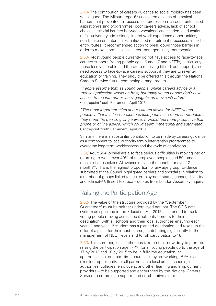2.49/ The contribution of careers guidance to social mobility has been well argued. The Milburn report<sup>60</sup> uncovered a series of practical barriers that prevented fair access to a professional career – unfocused aspiration-raising programmes, poor careers advice, lack of school choices, artificial barriers between vocational and academic education, unfair university admissions, limited work experience opportunities, non-transparent internships, antiquated recruitment processes, inflexible entry routes. It recommended action to break down those barriers in order to make a professional career more genuinely meritocratic.

2.50/ Most young people currently do not have access to face-to-face careers support. Young people age 16 and 17 and NEETs, particularly those less vulnerable and therefore receiving little direct support, also need access to face-to-face careers support if they are to re-enter education or training. They should be offered this through the National Careers Service future contracting arrangements.

*"People assume that, as young people, online careers advice or a mobile application would be best, but many young people don't have access to the internet or fancy gadgets, as they can't afford it."* Centrepoint Youth Parliament, April 2013

*"The most important thing about careers advice for NEET young people is that it is face-to-face because people are more comfortable if they meet the person giving advice. It would feel more productive than phone or online advice, which could seem impersonal and automated."* Centrepoint Youth Parliament, April 2013

Similarly there is a substantial contribution to be made by careers guidance as a component to local authority family intervention programmes to overcome long-term worklessness and the cycle of deprivation.

2.51/ Adult 50+ jobseekers also face serious difficulties in moving into or returning to work: over 40% of unemployed people aged 50+ and in receipt of Jobseeker's Allowance stay on the benefit for over 12 months<sup>61</sup>. This is the highest proportion for any age group. Evidence submitted to the Council highlighted barriers and shortfalls in relation to a number of groups linked to age, employment status, gender, disability and ethnicity<sup>62</sup>. [Insert text box – quotes from London Assembly Inquiry]

## Raising the Participation Age

2.52/ The value of the structure provided by the 'September Guarantee'63 must be neither underplayed nor lost. The CCIS data system as specified in the Education Act 2012, is intended to track young people moving across local authority borders to their destination, with all schools and their local authorities ensuring each year 11 and year 12 student has a planned destination and takes up the offer of a place for their next course, contributing significantly to the management of NEET levels and to full participation to 18.

2.53/ This summer, local authorities take on their new duty to promote raising the participation age (RPA) for all young people up to the age of 17 by 2013 and 18 by 2015 to be in full-time education, an apprenticeship, or a part-time course if they are working. RPA is an excellent opportunity for all partners in a local area – schools, local authorities, colleges, employers, and other learning and employment providers – to be supported and encouraged by the National Careers Service to co-ordinate support and collaborative expertise.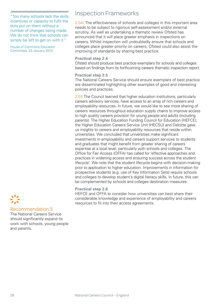"Too many schools lack the skills, incentives or capacity to fulfil the duty put on them without a number of changes being made. We do not think that schools can simply be left to get on with it."

House of Commons Education Committee, 23 January 2013

# Inspection Frameworks

2.54/ The effectiveness of schools and colleges in this important area needs to be subject to rigorous self-assessment and/or external scrutiny. As well as undertaking a thematic review Ofsted has announced that it will place greater emphasis in inspections on careers. Whilst inspection will undoubtedly ensure that schools and colleges place greater priority on careers, Ofsted could also assist the improving of standards by sharing best practice.

### **Practical step 2.4**

Ofsted should produce best practice exemplars for schools and colleges based on findings from its forthcoming careers thematic inspection report.

### **Practical step 2.5**

The National Careers Service should ensure exemplars of best practice are disseminated highlighting other examples of good and interesting policies and practices.

2.55 The Council learned that higher education institutions, particularly careers advisory services, have access to an array of rich careers and employability resources. In future, we would like to see more sharing of careers resources throughout education supply chains to improve access to high quality careers provision for young people and adults (including parents). The Higher Education Funding Council for Education (HEFCE), the Higher Education Careers Service Unit (HECSU) and Deloitte gave us insights to careers and employability resources that reside within universities. We concluded that universities make significant investments in employability and careers support services to students and graduates that might benefit from greater sharing of careers expertise at a local level, particularly with schools and colleges. The Office for Fair Access (OFFA) has called for 'effective approaches and practices in widening access and ensuring success across the student lifecycle'. We note that the student lifecycle begins with decision-making prior to application to higher education. Improvements in information for prospective students (e.g. use of Key Information Sets) require schools and colleges to develop student's digital literacy skills. In future, this can be complemented by schools and colleges destination measures.

### **Practical step 2.6**

HEFCE and OFFA to consider how universities can best share their considerable knowledge and experience of employability and careers resources to fit into their access agreements.

### Recommendation 3

The National Careers Service should significantly expand its work with schools, young people and parents.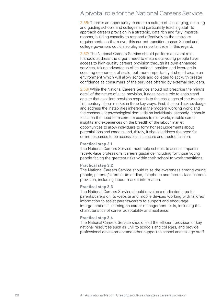# A pivotal role for the National Careers Service

2.56/ There is an opportunity to create a culture of challenging, enabling and guiding schools and colleges and particularly teaching staff to approach careers provision in a strategic, data rich and fully impartial manner, building capacity to respond effectively to the statutory requirements on them over this current transition phase. School and college governors could also play an important role in this regard.

2.57/ The National Careers Service should perform a pivotal role. It should address the urgent need to ensure our young people have access to high-quality careers provision through its own enhanced services, taking advantages of its national position and leverage in securing economies of scale, but more importantly it should create an environment which will allow schools and colleges to act with greater confidence as consumers of the services offered by external providers.

2.58/ While the National Careers Service should not prescribe the minute detail of the nature of such provision, it does have a role to enable and ensure that excellent provision responds to the challenges of the twentyfirst century labour market in three key ways. First, it should acknowledge and address the instabilities inherent in the modern working world and the consequent psychological demands on individuals; secondly, it should focus on the need for maximum access to real world, reliable career insights and experiences on the breadth of the labour market opportunities to allow individuals to form honest judgements about potential jobs and careers: and, thirdly, it should address the need for online resources to be accessible in a secure and trusted fashion.

### **Practical step 3.1**

The National Careers Service must help schools to access impartial face-to-face professional careers guidance including for those young people facing the greatest risks within their school to work transitions.

### **Practical step 3.2**

The National Careers Service should raise the awareness among young people, parents/carers of its on-line, telephone and face-to-face careers provision, including labour market information.

### **Practical step 3.3**

The National Careers Service should develop a dedicated area for parents/carers on its website and mobile devices working with tailored information to assist parents/carers to support and encourage intergenerational learning on career management skills, including the characteristics of career adaptability and resilience.

### **Practical step 3.4**

The National Careers Service should lead the efficient provision of key national resources such as LMI to schools and colleges, and provide professional development and other support to school and college staff.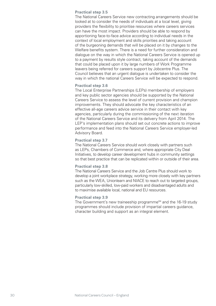### **Practical step 3.5**

The National Careers Service new contracting arrangements should be looked at to consider the needs of individuals at a local level, giving providers the flexibility to prioritise resources where careers services can have the most impact. Providers should be able to respond by apportioning face-to-face advice according to individual needs in the context of local employment and skills priorities and taking account of the burgeoning demands that will be placed on it by changes to the Welfare benefits system. There is a need for further consideration and dialogue on the way in which the National Careers Service is opened up to a payment by results style contract, taking account of the demands that could be placed upon it by large numbers of Work Programme leavers being referred for careers support by Jobcentre Plus. The Council believes that an urgent dialogue is undertaken to consider the way in which the national Careers Service will be expected to respond.

### **Practical step 3.6**

The Local Enterprise Partnerships (LEPs) membership of employers and key public sector agencies should be supported by the National Careers Service to assess the level of current provision and champion improvements. They should advocate the key characteristics of an effective all-age careers advice service in their contact with key agencies, particularly during the commissioning of the next iteration of the National Careers Service and its delivery from April 2014. The LEP's implementation plans should set out concrete actions to improve performance and feed into the National Careers Service employer-led Advisory Board.

### **Practical step 3.7**

The National Careers Service should work closely with partners such as LEPs, Chambers of Commerce and, where appropriate City Deal Initiatives, to develop career development hubs in community settings so that best practice that can be replicated within or outside of their area.

### **Practical step 3.8**

The National Careers Service and the Job Centre Plus should work to develop a joint workplace strategy, working more closely with key partners such as the WEA, Unionlearn and NIACE to reach out to targeted groups, particularly low-skilled, low-paid workers and disadvantaged adults and to maximise available local, national and EU resources.

### **Practical step 3.9**

The Government's new traineeship programme $64$  and the 16-19 study programmes should include provision of impartial careers guidance, character building and support as an integral element.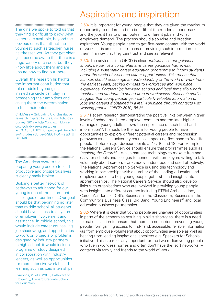The girls we spoke to told us that they find it difficult to know what careers are available, beyond the obvious ones that attract the youngest, such as teacher, nurse, hairdresser, vet. As they get older, girls become aware that there is a huge variety of careers, but they know little about them and are unsure how to find out more

Overall, the research highlights the important contribution that role models beyond girls' immediate circle can play, in broadening their ambitions and giving them the determination to fulfil their potential.

ChildWise – Girlguiding UK 'Qualitative research inspired by the Girls' Attitudes Survey' 2012 – http://www.childwise. co.uk/childwise-casestudies. asp?CASESTUDY=Girlguiding+UK+-+Girl s+Attitudes+Survey&SECTION=9&STU  $DY=146$ 

The American system for preparing young people to lead productive and prosperous lives is clearly badly broken...

Building a better network of pathways to adulthood for our young is one of the paramount challenges of our time. ...Our goal should be that beginning no later than middle school, all students should have access to a system of employer involvement and assistance. In middle school, this would include career counselling, job shadowing, and opportunities to work on projects or problems designed by industry partners. In high school, it would include programs of study designed in collaboration with industry leaders, as well as opportunities for more intensive work-based learning such as paid internships.

Symonds, W et al (2010) Pathways to Prosperity, Harvard Graduate School for Education

# Aspiration and inspiration

2.59/ It is important for young people that they are given the maximum opportunity to understand the breadth of the modern labour market and the jobs it has to offer, routes into different jobs and what employers demand. The process should also raise and broaden aspirations. Young people need to get first-hand contact with the world of work – it is an excellent means of providing such information to them in a way that they can trust and see as relevant.

2.60/ The advice of the OECD is clear: *Individual career guidance should be part of a comprehensive career guidance framework, including a systematic career education programme to inform students about the world of work and career opportunities. This means that schools should encourage an understanding of the world of work from the earliest years, backed by visits to workplaces and workplace experience. Partnerships between schools and local firms allow both teachers and students to spend time in workplaces. Research studies suggest that young people gain particularly valuable information on jobs and careers if obtained in a real workplace through contacts with working people. (OECD 2010, 85.)*<sup>65</sup>

2.61/ Recent research demonstrating the positive links between higher levels of school-mediated employer contacts and the later higher earnings of young adults shows the importance of such first-hand information<sup>66</sup>. It should be the norm for young people to have opportunities to explore different potential careers and progression pathways (such as university courses) – speaking first-hand to 'real life' people – before major decision points at 14, 16 and 18. For example, the National Careers Service should ensure that programmes such as *Inspiring the Future*<sup>67</sup> – which harness technology to make it free and easy for schools and colleges to connect with employers willing to talk voluntarily about careers – are widely understood and used effectively. The National Apprenticeship Service is using this technology and working in partnerships with a number of the leading education and employer bodies to help young people get first hand insights into apprenticeships. The National Careers Service should also develop links with organisations who are involved in providing young people with insights into different careers including STEM Ambassadors, Career Academies, CBI's Business in the Classroom, Business in the Community's Business Class, Big Bang, Young Engineers<sup>68</sup> and local education business partnerships.

2.62/ Where it is clear that young people are unaware of opportunities in parts of the economies resulting in skills shortages, there is a need for national action to ensure that there are no barriers preventing young people from gaining access to first-hand, accessible, reliable information (as from employee volunteers) about opportunities available as well as hearing from leading inspirational speakers e.g. Speakers for Schools initiative. This is particularly important for the two million young people who live in workless homes and often don't have the 'soft networks' – contacts via family and friends to the world of work.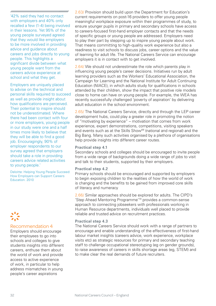'42% said they had no contact with employers and 40% only recalled a few (1-4) being involved in their lessons. Yet 95% of the young people surveyed agreed that they would like employers

to be more involved in providing advice and guidance about careers and jobs directly to young people. This highlights a significant divide between what young people want from the careers advice experience at school and what they get.

Employers are uniquely placed to advise on the technical and personal skills required to succeed as well as provide insight about how qualifications are perceived. Their potential to inspire should not be underestimated. Where there had been contact with four or more employers, young people in our study were one and a half times more likely to believe that they will be able to find a good job. Encouragingly, 90% of employer respondents to our survey agreed that employers should take a role in providing careers advice related activities to young people.'

Deloitte: Helping Young People Succeed: How Employers can Support Careers Education. 2010

### Recommendation 4

Employers should encourage their employees to go into schools and colleges to give students insights into different careers, enthuse them about the world of work and provide access to active experience of work, in particular to help address mismatches in young people's career aspirations

2.63/ Provision should build upon the Department for Education's current requirements on post-16 providers to offer young people meaningful workplace exposure within their programmes of study, to ensure younger pupils in primary and secondary schools have access to careers-focused first-hand employer contacts and that the needs of specific groups or young people are addressed. Employers need to play their part by stepping up to inspire young people about work. That means committing to high-quality work experience but also a readiness to visit schools to discuss jobs, career options and the value of learning for adult life. The National Careers Service can encourage employers it is in contact with to get involved.

2.64/ We should not underestimate the role which parents play in influencing young people's career decisions. Initiatives run by adult learning providers such as the Workers' Educational Association, the Campaign for Learning and the National Institute for Adult Continuing Education (NIACE), in which adults study for qualifications in schools attended by their children, show the impact that positive role models close to home can have on young people. For example, the WEA has recently successfully challenged 'poverty of aspiration' by delivering adult education in the school environment.

2.65/ The National Careers Service, directly and through the LEP career development hubs, could play a greater role in promoting the notion of "motivating by experience" – motivation that comes from work experience, expert demonstrations, competitions, visiting speakers and events such as at the Skills Show<sup>69</sup> (national and regional) and the Big Bang. Many such activities organised by a plethora of organisations help provide insights into different career routes.

### **Practical step 4.1**

Secondary schools and colleges should be encouraged to invite people from a wide range of backgrounds doing a wide range of jobs to visit and talk to their students, supported by their employers.

### **Practical step 4.2**

Primary schools should be encouraged and supported by employers to begin exposing children to the realities of how the world of work is changing and the benefits to be gained from improved core skills of literacy and numeracy

2.66/ Similar approaches should be explored for adults. The CIPD's 'Step Ahead Mentoring Programme'70 provides a common-sense approach to connecting jobseekers with professionals working in Human Resource departments, individuals well placed to provide reliable and trusted advice on recruitment practices.

### **Practical step 4.3**

The National Careers Service should work with a range of partners to encourage and enable understanding of the effectiveness of first-hand labour market insights (careers advice, work experience, workplace visits etc) as strategic resources for primary and secondary teaching staff to challenge occupational stereotyping (eg on gender grounds), to raise awareness of careers in skills shortage areas (eg, STEM) and to make clear the real demands of future recruiters.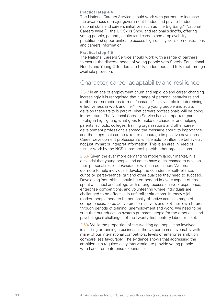### **Practical step 4.4**

The National Careers Service should work with partners to increase the awareness of major government-funded and private-funded national skills and careers initiatives such as The Big Bang,<sup>71</sup> National Careers Week<sup>71</sup>, the UK Skills Show and regional spinoffs, offering young people, parents, adults (and careers and employability practitioners) opportunities to access high-quality skills demonstrations and careers information

### **Practical step 4.5**

The National Careers Service should work with a range of partners to ensure the discrete needs of young people with Special Educational Needs and Young Offenders are fully understood and fully met through available provision.

## Character, career adaptability and resilience

2.67/ In an age of employment churn and rapid job and career changing, increasingly it is recognised that a range of personal behaviours and attributes – sometimes termed 'character' – play a role in determining effectiveness in work and life.<sup>72</sup> Helping young people and adults develop these traits is part of what careers professionals will be doing in the future. The National Careers Service has an important part to play in highlighting what goes to make up character and helping parents, schools, colleges, training organisations and other career development professionals spread the message about its importance and the steps that can be taken to encourage its positive development. Career development professionals will be able to influence behaviour, not just impart or interpret information. This is an area in need of further work by the NCS in partnership with other organisations.

2.68/ Given the ever more demanding modern labour market, it is essential that young people and adults have a real chance to develop their personal resilience/character while in education. We must do more to help individuals develop the confidence, self-reliance, curiosity, perseverance, grit and other qualities they need to succeed. Developing 'soft skills' should be embedded in every aspect of time spent at school and college with strong focuses on work experience, enterprise competitions, and volunteering where individuals are challenged to be effective in unfamiliar situations. In today's job market, people need to be personally effective across a range of competencies, to be active problem solvers and plot their own futures through periods of training, unemployment and work. We need to be sure that our education system prepares people for the emotional and psychological challenges of the twenty-first century labour market.

2.69/ While the proportion of the working age population involved in starting or running a business in the UK compares favourably with many of our international competitors, levels of enterprise ambition compare less favourably. The evidence shows that addressing the ambition gap requires early intervention to provide young people with hands-on enterprise experience.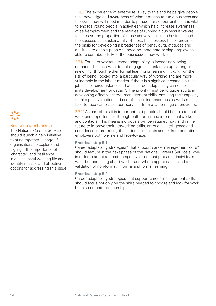### Recommendation 5

The National Careers Service should launch a new initiative to bring together a range of organisations to explore and highlight the importance of 'character' and 'resilience' in a successful working life and identify realistic and effective options for addressing this issue. 2.70/ The experience of enterprise is key to this and helps give people the knowledge and awareness of what it means to run a business and the skills they will need in order to pursue new opportunities. It is vital to engage young people in activities which help increase awareness of self-employment and the realities of running a business if we are to increase the proportion of those actively starting a business (and the success and sustainability of those businesses). It also provides the basis for developing a broader set of behaviours, attitudes and qualities, to enable people to become more enterprising employees, able to contribute fully to the businesses they work for.

2.71/ For older workers, career adaptability is increasingly being demanded. Those who do not engage in substantive up-skilling or re-skilling, through either formal learning or learning in work, run the risk of being 'locked into' a particular way of working and are more vulnerable in the labour market if there is a significant change in their job or their circumstances. That is, career adaptability can either stall in its development or decay<sup>73</sup>. The priority must be to guide adults in developing effective career management skills, ensuring their capacity to take positive action and use of the online resources as well as face-to-face careers support services from a wide range of providers.

2.72/ As part of this it is important that people should be able to seek work and opportunities through both formal and informal networks and contacts. This means individuals will be required now and in the future to improve their networking skills, emotional intelligence and confidence in promoting their interests, talents and skills to potential employers both on-line and face-to-face.

### **Practical step 5.1**

Career adaptability strategies<sup>74</sup> that support career management skills<sup>75</sup> should feature in the next phase of the National Careers Service's work in order to adopt a broad perspective – not just preparing individuals for work but educating about work – and where appropriate linked to validation of non-formal, informal and formal learning.

### **Practical step 5.2**

Career adaptability strategies that support career management skills should focus not only on the skills needed to choose and look for work, but also on entrepreneurship.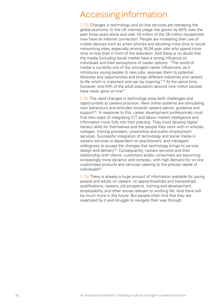# Accessing information

2.73/ Changes in technology and on-line services are reshaping the global economy. In the UK internet usage has grown by 65% over the past three years alone and over 19 million of the 26 million households now have an internet connection. People are increasing their use of mobile devices such as smart phones and devoting more time to social networking sites, especially among 16-24 year olds who spend more time on-line than in front of the television. And there is no doubt that the media (including social media) have a strong influence on individuals and their perceptions of career options: "The world of media is currently one of the strongest career influencers, as it introduces young people to new jobs, exposes them to potential lifestyles and opportunities and brings different industries and careers to life which is important and can be inspiring."<sup>76</sup> At the same time, however, one-fifth of the adult population (around nine million people) have never gone on-line<sup>77</sup>.

2.74/ The rapid changes in technology pose both challenges and opportunities to careers provision. New online systems are stimulating new behaviours and attitudes towards careers advice, guidance and support<sup>78</sup>. In response to this, career development professionals must find new ways of integrating ICT and labour market intelligence and information more fully into their practice. They must develop digital literacy skills for themselves and the people they work with in schools, colleges, training providers, universities and public employment services. Successful integration of technology and social media in careers services is dependent on practitioners' and managers' willingness to accept the changes that technology brings to service design and delivery<sup>79</sup>. Consequently, careers services and their relationship with clients, customers and/or consumers are becoming increasingly more dynamic and complex, with high demand for on-line customised products and services catering to the precise needs of individuals<sup>80</sup>.

2.75/ There is already a huge amount of information available for young people and adults on careers: on apprenticeships and traineeships, qualifications, careers, job prospects, training and development, employability and other issues relevant to working life. And there will be much more in the future. But people often find that they are swamped by it and struggle to navigate their way through.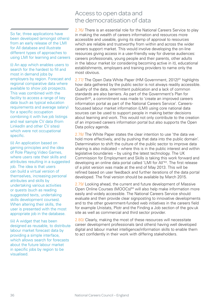So far, three applications have been developed (amongst others) from an early release of the LMI for All database and illustrate different types of approaches to using LMI for learning and careers

(i) An app which enables users to search for the hardest to fill and most in demand jobs by employers by region. Forecast and regional comparative data where available to show job prospects. This was combined with the facility to access a range of key data (such as typical education requirements and average salary) for a specific occupation combining it with live job listings and real sample CV data (from LinkedIn and other CV sites) which were not occupational specific.

(ii) An application based on gaming principles and the idea of Role Playing Video Games, where users rate their skills and attributes resulting in a suggested job. The idea is that users can build a virtual version of themselves, increasing personal attributes and skills by undertaking various activities or quests (such as reading suggested texts, undertaking skills development courses). When altering their skills, the user is presented with the most appropriate job in the database.

(iii) A widget that has been designed as reusable, to distribute labour market forecast data by providing a simple interface, which allows search for forecasts about the future labour market in specific jobs by region to be visualised.

# Access to open data and the democratisation of data

2.76/ There is an essential role for the National Careers Service to play in making the wealth of careers information and resources more accessible and useable, giving its stamp of approval to resources which are reliable and trustworthy from within and across the wider careers support market. This would involve developing the on-line resources giving access in a user-friendly way for diverse audiences: careers professionals, young people and their parents, other adults in the labour market (or considering becoming active in it), educational establishments, employers and training providers to name only the most obvious.

2.77/ The Open Data White Paper (HM Government, 2012)<sup>81</sup> highlights how data gathered by the public sector is not always readily accessible. Quality of the data, intermittent publication and a lack of common standards are also barriers. As part of the Government's Plan for Growth<sup>82</sup>, a commitment was made to 'create an improved careers information portal as part of the National Careers Service'. Careersfocussed labour market information (LMI) using core national data sources can be used to support people in making better decisions about learning and work. This would not only contribute to the creation of an improved careers information portal but also supports the Open Data policy agenda.

2.78/ The White Paper states the clear intention to use 'the data we hold more effectively, and by pushing that data into the public domain'. Determination to shift the culture of the public sector to improve data sharing is also indicated – where this is in the public interest and within legislative boundaries – by using the latest technology. The UK Commission for Employment and Skills is taking this work forward and developing an online data portal called 'LMI for All'83. The first release of a pilot version was made at the end of May 2013. This will be refined based on user feedback and further iterations of the data portal developed. The final version should be available by March 2015.

2.79/ Looking ahead, the current and future development of Massive Open Online Courses (MOOCs)<sup>84</sup> will also help make information more easily and widely accessible. The National Careers Service should evaluate and then provide clear signposting to innovative developments and to the other government-funded web initiatives in the careers field for example Unistats, Plotr and the Finding a Job section of the gov.uk site as well as commercial and third sector provider.

2.80/ Clearly, making the most of these resources will necessitate career development professionals (and others) having well developed digital and labour market intelligence/information skills to enable them to act confidently in their work with differing stakeholders.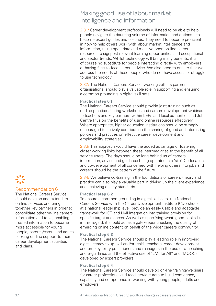# Making good use of labour market intelligence and information

2.81/ Career development professionals will need to be able to help people navigate the daunting volume of information and options – to become expert guides and coaches. They need to become proficient in how to help others work with labour market intelligence and information, using open data and massive open on-line careers resources to signpost relevant learning opportunities and occupational and sector trends. Whilst technology will bring many benefits, it is of course no substitute for people interacting directly with employers or having face-to-face careers advice. We also need to ensure that we address the needs of those people who do not have access or struggle to use technology.

2.82/ The National Careers Service, working with its partner organisations, should play a valuable role in supporting and ensuring a common grounding in digital skill sets.

### **Practical step 6.1**

The National Careers Service should provide joint training such as on-line practice-sharing workshops and careers development webinars to teachers and key partners within LEPs and local authorities and Job Centre Plus on the benefits of using online resources effectively. Where appropriate, higher education institutions should be strongly encouraged to actively contribute in the sharing of good and interesting policies and practices on effective career development and employability strategies.

2.83/ This approach would have the added advantage of fostering closer working links between these intermediaries to the benefit of all service users. The days should be long behind us of careers information, advice and guidance being operated in a 'silo'. Co-location and co-development of all concerned with helping others into jobs and careers should be the pattern of the future.

2.84/ We believe co-training in the foundations of careers theory and practice can also play a valuable part in driving up the client experience and achieving quality standards.

### **Practical step 6.2**

To ensure a common grounding in digital skill sets, the National Careers Service with the Career Development Institute (CDI) should, at a national leadership level, provide an easily usable and adaptable framework for ICT and LMI integration into training provision for specific target audiences. As well as specifying what 'good' looks like in this regard, it should act as a gatekeeper checking the quality of emerging online content on behalf of the wider careers community.

### **Practical step 6.3**

The National Careers Service should play a leading role in improving digital literacy to up-skill and/or reskill teachers, career development and employability practitioners and managers in the use of e-coaching and e-guidance and the effective use of 'LMI for All'' and 'MOOCs' developed by expert providers.

### **Practical step 6.4**

The National Careers Service should develop on-line training/webinars for career professional and teachers/lecturers to build confidence, capability and competence in working with young people, adults and employers.

### Recommendation 6

The National Careers Service should develop and extend its on-line services and bring together key partners in order to consolidate other on-line careers information and tools, enabling trusted information to become more accessible for young people, parents/carers and adults seeking on-line support to their career development activities and plans.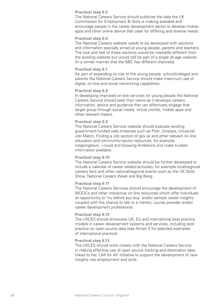### **Practical step 6.5**

The National Careers Service should publicise the data the UK Commission for Employment & Skills is making available and encourage people in the career development sector to develop mobile apps and other online device that cater for differing and diverse needs.

### **Practical step 6.6**

The National Careers website needs to be developed with sections and information specially aimed at young people, parents and teachers. The look and feel of these sections would be markedly different from the existing website but would still be part of a single all-age website (in a similar manner that the BBC has different channels).

### **Practical step 6.7**

As part of expanding its role to the young people, school/colleges and parents the National Careers Service should make maximum use of digital, on-line and social networking capabilities.

### **Practical step 6.8**

In developing improved on-line services for young people the National Careers Service should seek their views as it develops careers information, advice and guidance that can effectively engage that target group through social media, virtual worlds, mobile apps and other relevant means.

### **Practical step 6.9**

The National Careers Service website should evaluate existing government-funded web initiatives such as Plotr, Unistats, Universal Job Match, Finding a Job section of gov.uk and other relevant on-line education and community-sector resources, for example, notgoingtouni, i-could and Growing Ambitions and make trusted information available.

### **Practical step 6.10**

The National Careers Service website should be further developed to include a calendar of career related activities, for example local/regional careers fairs and other national/regional events such as the UK Skills Show, National Careers Week and Big Bang.

### **Practical step 6.11**

The National Careers Services should encourage the development of MOOCs and other interactive on-line resources which offer individuals an opportunity to 'try before you buy' and/or sample career insights coupled with the chance to talk to a mentor, course provider and/or career development professional.

### **Practical step 6.12**

The UKCES should showcase UK, EU and international best practice models in career development systems and services, including best practice on open source data (see Annex 3 for selected examples of international practice).

### **Practical step 6.13**

The UKCES should work closely with the National Careers Service in making effective use of open source tracking and destination data linked to the 'LMI for All' initiative to support the development of new insights into employment and skills.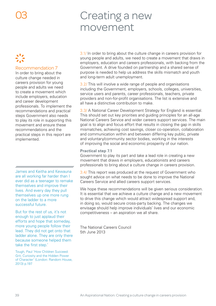# Creating a new movement

### Recommendation 7

In order to bring about the culture change needed in careers provision for young people and adults we need to create a movement which include employers, education and career development professionals. To implement the recommendations and practical steps Government also needs to play its role in supporting this movement and ensure these recommendations and the practical steps in this report are implemented.

nnnnnnnnnnnnmmmmmmmmmmmmm James and Keitha and Kewauna are all working far harder than I ever did as a teenager to remake themselves and improve their lives. And every day they pull themselves up one more rung on the ladder to a more successful future.

But for the rest of us, it's not enough to just applaud their efforts and hope that someday, more young people follow their lead. They did not get onto that ladder alone. They are only there because someone helped them take the first step.'

Tough, Paul 'How Children Succeed: Grit, Curiosity and the Hidden Power of Character' (London: Random House, 2013) p.197

3.1/ In order to bring about the culture change in careers provision for young people and adults, we need to create a movement that draws in employers, education and careers professionals, with backing from the Government. A drive founded on partnership and a shared sense of purpose is needed to help us address the skills mismatch and youth and long-term adult unemployment.

3.2/ This will involve a wide range of people and organisations including the Government, employers, schools, colleges, universities, service users and parents, career professionals, teachers, private providers and non-for-profit organisations. The list is extensive and all have a distinctive contribution to make.

3.3/ A National Career Development Strategy for England is essential. This should set out key priorities and guiding principles for an all-age National Careers Service and wider careers support services. The main goal is to align and focus effort that results in closing the gap in skills mismatches, achieving cost savings, closer co-operation, collaboration and communication within and between differing key public, private and voluntary/community sector bodies, working in the interests of improving the social and economic prosperity of our nation.

### **Practical step 7.1**

Government to play its part and take a lead role in creating a new movement that draws in employers, educationists and careers professionals to bring about a culture change in careers provision.

3.4/ This report was produced at the request of Government who sought advice on what needs to be done to improve the National Careers Service and allied careers support services.

We hope these recommendations will be given serious consideration. It is essential that we achieve a culture change and a new movement to drive this change which would attract widespread support and, in doing so, would secure cross-party backing. The changes we envisage should help improve individuals' lives and our economic competitiveness – an aspiration we all share.

The National Careers Council 5th June 2013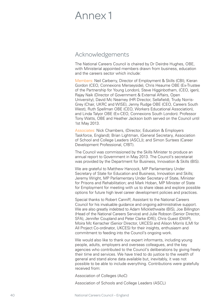# Annex 1

## Acknowledgements

The National Careers Council is chaired by Dr Deirdre Hughes, OBE, with Ministerial appointed members drawn from business, education and the careers sector which include:

Members: Neil Carberry, Director of Employment & Skills (CBI), Kieran Gordon (CEO, Connexions Merseyside), Chris Heaume OBE (Ex-Trustee of the Partnership for Young London), Steve Higginbotham, (CEO, igen), Rajay Naik (Director of Government & External Affairs, Open University), David Mc Nearney (HR Director, Sellafield), Trudy Norris-Grey (Chair, UKRC and WISE), Jenny Rudge OBE (CEO, Careers South West), Ruth Spellman OBE (CEO, Workers Educational Association), and Linda Talyor OBE (Ex-CEO, Connexions South London). Professor Tony Watts, OBE and Heather Jackson both served on the Council until 1st May 2013.

Associates: Nick Chambers, (Director, Education & Employers Taskforce, England); Brian Lightman, (General Secretary, Association of School and College Leaders (ASCL)); and Simon Surtees (Career Development Professional, CfBT).

The Council was commissioned by the Skills Minister to produce an annual report to Government in May 2013. The Council's secretariat was provided by the Department for Business, Innovation & Skills (BIS).

We are grateful to Matthew Hancock, MP Parliamentary Under Secretary of State for Education and Business, Innovation and Skills; Jeremy Wright, MP Parliamentary Under Secretary of State, Minister for Prisons and Rehabilitation; and Mark Hoban, MP Minister of State for Employment for meeting with us to share ideas and explore possible options for future high level career development policies and practices.

Special thanks to Robert Canniff, Assistant to the National Careers Council for his invaluable guidance and ongoing administrative support. We are also greatly indebted to Adam Micklethwaite (BIS), Joe Billington (Head of the National Careers Service) and Julie Robson (Senior Director, SFA), Jennifer Coupland and Peter Clarke (DfE), Chris Guest (DWP), Moira Mc Kerracher (Senior Director, UKCES) and Alison Morris (LMI for All Project Co-ordinator, UKCES) for their insights, enthusiasm and commitment to feeding into the Council's ongoing work.

We would also like to thank our expert informants, including young people, adults, employers and overseas colleagues, and the key agencies who contributed to the Council's deliberations by giving freely their time and services. We have tried to do justice to the wealth of general and stand alone data available but, inevitably, it was not possible to be able to include everything. Contributions were gratefully received from:

Association of Colleges (AoC)

Association of Schools and College Leaders (ASCL)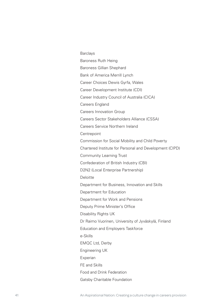Barclays Baroness Ruth Heing Baroness Gillian Shephard Bank of America Merrill Lynch Career Choices Dewis Gyrfa, Wales Career Development Institute (CDI) Career Industry Council of Australia (CICA) Careers England Careers Innovation Group Careers Sector Stakeholders Alliance (CSSA) Careers Service Northern Ireland **Centrepoint** Commission for Social Mobility and Child Poverty Chartered Institute for Personal and Development (CIPD) Community Learning Trust Confederation of British Industry (CBI) D2N2 (Local Enterprise Partnership) **Deloitte** Department for Business, Innovation and Skills Department for Education Department for Work and Pensions Deputy Prime Minister's Office Disability Rights UK Dr Raimo Vuorinen, University of Jyväskylä, Finland Education and Employers Taskforce e-Skills EMQC Ltd, Derby Engineering UK Experian FE and Skills Food and Drink Federation Gatsby Charitable Foundation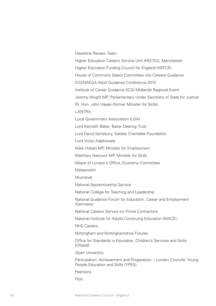Heseltine Review Team

Higher Education Careers Service Unit (HECSU), Manchester Higher Education Funding Council for England (HEFCE) House of Commons Select Committee into Careers Guidance ICG/NAEGA Adult Guidance Conference 2012 Institute of Career Guidance (ICG) Midlands Regional Event Jeremy Wright MP, Parliamentary Under Secretary of State for Justice Rt. Hon. John Hayes (former Minister for Skills) LANTRA Local Government Association (LGA) Lord Kenneth Baker, Baker Dearing Trust Lord David Sainsbury, Gatsby Charitable Foundation Lord Victor Adebowale Mark Hoban MP, Minister for Employment Matthew Hancock MP, Minister for Skills Mayor of London's Office, Economy Committee **Metaswitch** Mumsnet National Apprenticeship Service National College for Teaching and Leadership National Guidance Forum for Education, Career and Employment (Germany) National Careers Service inc Prime Contractors National Institute for Adults Continuing Education (NIACE) NHS Careers Nottingham and Nottinghamshire Futures Office for Standards in Education, Children's Services and Skills (Ofsted) Open University Participation, Achievement and Progression – London Councils' Young People Education and Skills (YPES) Pearsons

Plotr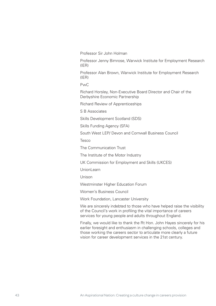Professor Sir John Holman

Professor Jenny Bimrose, Warwick Institute for Employment Research (IER)

Professor Alan Brown, Warwick Institute for Employment Research (IER)

PwC

Richard Horsley, Non-Executive Board Director and Chair of the Derbyshire Economic Partnership

Richard Review of Apprenticeships

S B Associates

Skills Development Scotland (SDS)

Skills Funding Agency (SFA)

South West LEP/ Devon and Cornwall Business Council

Tesco

The Communication Trust

The Institute of the Motor Industry

UK Commission for Employment and Skills (UKCES)

UnionLearn

Unison

Westminster Higher Education Forum

Women's Business Council

Work Foundation, Lancaster University

We are sincerely indebted to those who have helped raise the visibility of the Council's work in profiling the vital importance of careers services for young people and adults throughout England.

Finally, we would like to thank the Rt Hon. John Hayes sincerely for his earlier foresight and enthusiasm in challenging schools, colleges and those working the careers sector to articulate more clearly a future vision for career development services in the 21st century.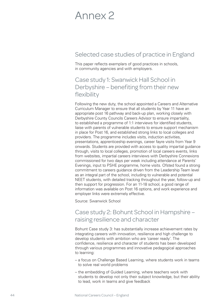# Annex 2

# Selected case studies of practice in England

This paper reflects exemplars of good practices in schools, in community agencies and with employers.

## Case study 1: Swanwick Hall School in Derbyshire – benefiting from their new flexibility

Following the new duty, the school appointed a Careers and Alternative Curriculum Manager to ensure that all students by Year 11 have an appropriate post 16 pathway and back-up plan, working closely with Derbyshire County Councils Careers Advisor to ensure impartiality, to established a programme of 1:1 interviews for identified students, liaise with parents of vulnerable students to ensure support mechanism in place for Post 16, and established strong links to local colleges and providers. The programme includes visits, induction activities, presentations, apprenticeship evenings, career fayre visits from Year 9 onwards. Students are provided with access to quality impartial guidance through, visits to local colleges, promotion of local careers events, links from websites, impartial careers interviews with Derbyshire Connexions commissioned for two days per week including attendance at Parents' Evenings, input to PSHE programme, home visits. Ofsted found a strong commitment to careers guidance driven from the Leadership Team level as an integral part of the school, including to vulnerable and potential NEET students, with detailed tracking throughout the year, follow-up and then support for progression. For an 11-18 school, a good range of information was available on Post 16 options, and work experience and employer links were extremely effective.

Source: Swanwick School

# Case study 2: Bohunt School in Hampshire – raising resilience and character

Bohunt Case study 3: has substantially increase achievement rates by integrating careers with innovation, resilience and high challenge to develop students with ambition who are 'career ready'. The confidence, resilience and character of students has been developed through various programmes and innovative pedagogical approaches to learning:

- a focus on Challenge Based Learning, where students work in teams to solve real world problems
- the embedding of Guided Learning, where teachers work with students to develop not only their subject knowledge, but their ability to lead, work in teams and give feedback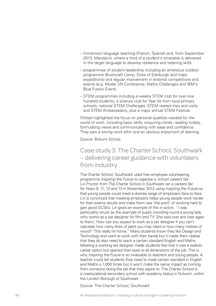- Immersion language teaching (French, Spanish and, from September 2013, Mandarin), where a third of a student's timetable is delivered in the target language to develop resilience and listening skills
- programmes of student leadership including an ambitious outdoor programme (Bushcraft Camp, Duke of Edinburgh and major expeditions) and regular involvement in external competitions and events (e.g. Model UN Conference, Maths Challenges and IBM's Blue Fusion Event)
- STEM programmes including a weekly STEM club for over one hundred students, a science club for Year 5s from local primary schools, national STEM Challenges, STEM related trips and visits and STEM Ambassadors, plus a major annual STEM Festival.

Ofsted highlighted the focus on personal qualities needed for the world of work, including basic skills, enquiring minds, reading widely, formulating views and communicating with ease and confidence. They saw a strong work ethic and an obvious enjoyment of learning.

Source: Bohunt School

# Case study 3: The Charter School, Southwark – delivering career guidance with volunteers from industry

The Charter School, Southwark used free employee volunteering programme *Inspiring the Future* to organise a 'school careers fair'. Lin Proctor from The Charter School in Southwark ran a careers fair for Years 9, 11, 12 and 13 in November 2012 using *Inspiring the Future* so that young people could meet a diverse range of employers face-to-face. Lin is convinced that meeting employers helps young people work harder for their exams results and make them see 'the point' of working hard to gain good GCSEs. Lin gives an example of this in action. "I was particularly struck by the example of pupils crowding round a young lady who works as a set designer for film and TV. She said over and over again to them; 'How can you expect to work as a set designer if you can't calculate how many litres of paint you may need or how many metres of wood?' This really hit home." Many students know they like Design and Technology and want to work with their hands but it made them realise that they do also need to reach a certain standard English and Maths. Meeting a working set designer made students feel that it was a realistic career option but opened their eyes to all dimensions of the job. This is why *Inspiring the Future* is so invaluable to teachers and young people. A teacher could tell students they need to meet certain standard in English and Maths a 1,000 times but it won't make the same impact as coming from someone doing the job that they aspire to. The Charter School is a coeducational secondary school with academy status in Dulwich, within the London Borough of Southwark.

Source: The Charter School, Southwark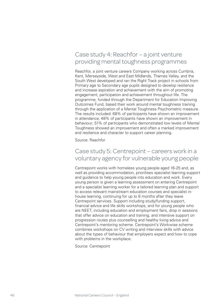# Case study 4: Reachfor – a joint venture providing mental toughness programmes

Reachfor, a joint venture careers Company working across Cumbria, Kent, Merseyside, West and East Midlands, Thames Valley, and the South West developed and ran the Right Track project in schools from Primary age to Secondary age pupils designed to develop resilience and increase aspiration and achievement with the aim of promoting engagement, participation and achievement throughout life. The programme, funded through the Department for Education Improving Outcomes Fund, based their work around mental toughness training through the application of a Mental Toughness Psychometric measure. The results included: 68% of participants have shown an improvement in attendance; 48% of participants have shown an improvement in behaviour; 51% of participants who demonstrated low levels of Mental Toughness showed an improvement and often a marked improvement and resilience and character to support career planning.

Source: Reachfor

## Case study 5: Centrepoint – careers work in a voluntary agency for vulnerable young people

Centrepoint works with homeless young people aged 16-25 and, as well as providing accommodation, prioritises specialist learning support and guidance to help young people into education and work. Every young person is given a learning assessment on entering Centrepoint and a specialist learning worker for a tailored learning plan and support to access relevant mainstream education courses and specialist inhouse learning, continuing for up to 6 months after they leave Centrepoint services. Support including study/funding support, financial advice and life skills workshops, and for young people who are NEET, including education and employment fairs, drop in sessions that offer advice on education and training, and intensive support on progression routes plus counselling and healthy living advice and Centrepoint's mentoring scheme. Centrepoint's Workwise scheme combines workshops on CV writing and interview skills with advice about the types of behaviour that employers expect and how to cope with problems in the workplace.

Source: Centrepoint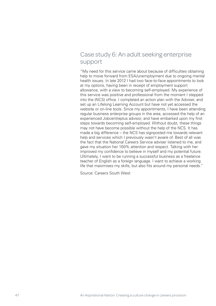# Case study 6: An adult seeking enterprise support

"My need for this service came about because of difficulties obtaining help to move forward from ESA/unemployment due to ongoing mental health issues. In late 2012 I had two face-to-face appointments to look at my options, having been in receipt of employment support allowance, with a view to becoming self-employed. My experience of this service was positive and professional from the moment I stepped into the (NCS) office. I completed an action plan with the Adviser, and set up an Lifelong Learning Account but have not yet accessed the website or on-line tools. Since my appointments, I have been attending regular business enterprise groups in the area, accessed the help of an experienced Jobcentreplus advisor, and have embarked upon my first steps towards becoming self-employed. Without doubt, these things may not have become possible without the help of the NCS. It has made a big difference – the NCS has signposted me towards relevant help and services which I previously wasn't aware of. Best of all was the fact that the National Careers Service adviser listened to me, and gave my situation her 100% attention and respect. Talking with her improved my confidence to believe in myself and my potential future. Ultimately, I want to be running a successful business as a freelance teacher of English as a foreign language. I want to achieve a working life that maximises my skills, but also fits around my personal needs."

Source: Careers South West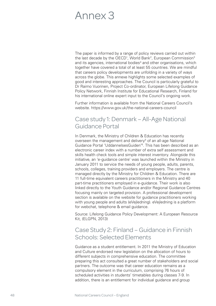# Annex 3

The paper is informed by a range of policy reviews carried out within the last decade by the OECD<sup>1</sup>, World Bank<sup>2</sup>, European Commission<sup>3</sup> and its agencies, international bodies<sup>4</sup> and other organisations, which together have covered a total of at least 55 countries. We are mindful that careers policy developments are unfolding in a variety of ways across the globe. This annexe highlights some selected examples of good and interesting approaches. The Council is particularly grateful to Dr Raimo Vuorinen, Project Co-ordinator, European Lifelong Guidance Policy Network, Finnish Institute for Educational Research, Finland for his international online expert input to the Council's ongoing work.

Further information is available from the National Careers Council's website. https://www.gov.uk/the-national-careers-council

# Case study 1: Denmark – All-Age National Guidance Portal

In Denmark, the Ministry of Children & Education has recently overseen the management and delivery<sup>5</sup> of an all-age National Guidance Portal 'UddannelsesGuiden'6. This has been described as an electronic career index with a number of extra self assessment and skills health check tools and simple interest inventory. Alongside this initiative, an 'e-guidance centre' was launched within the Ministry in January 2011 to service the needs of young people, adults, parents, schools, colleges, training providers and employers. The centre is managed directly by the Ministry for Children & Education. There are 11 full-time equivalent careers practitioners in the Ministry and 40 part-time practitioners employed in e-guidance. Their work is also linked directly to the Youth Guidance and/or Regional Guidance Centres focusing mainly on targeted provision. A professional development section is available on the website for guidance practitioners working with young people and adults (eVejledning). eVejledning is a platform for webchat, telephone & email guidance.

Source: Lifelong Guidance Policy Development: A European Resource Kit, (ELGPN, 2013)

# Case Study 2: Finland – Guidance in Finnish Schools: Selected Elements

Guidance as a student entitlement. In 2011 the Ministry of Education and Culture endorsed new legislation on the allocation of hours to different subjects in comprehensive education. The committee preparing this act consulted a great number of stakeholders and social partners. The outcome was that career education remains as a compulsory element in the curriculum, comprising 76 hours of scheduled activities in students' timetables during classes 7-9. In addition, there is an entitlement for individual guidance and group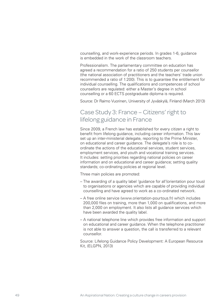counselling, and work-experience periods. In grades 1-6, guidance is embedded in the work of the classroom teachers.

Professionalism. The parliamentary committee on education has agreed a recommendation for a ratio of 250 students per counsellor (the national association of practitioners and the teachers' trade union recommended a ratio of 1:200). This is to guarantee the entitlement for individual counselling. The qualifications and competences of school counsellors are regulated: either a Master's degree in school counselling or a 60 ECTS postgraduate diploma is required.

Source: Dr Raimo Vuorinen, University of Jyväskylä, Finland (March 2013)

## Case Study 3: France – Citizens' right to lifelong guidance in France

Since 2009, a French law has established for every citizen a right to benefit from lifelong guidance, including career information. This law set up an inter-ministerial delegate, reporting to the Prime Minister, on educational and career guidance. The delegate's role is to coordinate the actions of the educational services, student services, employment services, and youth and vocational training services. It includes: setting priorities regarding national policies on career information and on educational and career guidance; setting quality standards; co-ordinating policies at regional level.

Three main policies are promoted:

- The awarding of a quality label 'guidance for all'(orientation pour tous) to organisations or agencies which are capable of providing individual counselling and have agreed to work as a co-ordinated network.
- A free online service (www.orientation-pourtous.fr) which includes 200,000 files on training, more than 1,000 on qualifications, and more than 2,000 on employment. It also lists all guidance services which have been awarded the quality label.
- A national telephone line which provides free information and support on educational and career guidance. When the telephone practitioner is not able to answer a question, the call is transferred to a relevant counsellor.

Source: Lifelong Guidance Policy Development: A European Resource Kit, (ELGPN, 2013)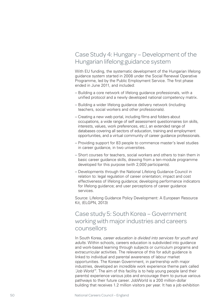# Case Study 4: Hungary – Development of the Hungarian lifelong guidance system

With EU funding, the systematic development of the Hungarian lifelong guidance system started in 2008 under the Social Renewal Operative Programme, led by the Public Employment Service. The first phase ended in June 2011, and included:

- Building a core network of lifelong guidance professionals, with a unified protocol and a newly developed national competency matrix.
- Building a wider lifelong guidance delivery network (including teachers, social workers and other professionals).
- Creating a new web portal, including films and folders about occupations, a wide range of self assessment questionnaires (on skills, interests, values, work preferences, etc.), an extended range of databases covering all sectors of education, training and employment opportunities, and a virtual community of career guidance professionals.
- Providing support for 83 people to commence master's level studies in career guidance, in two universities.
- Short courses for teachers, social workers and others to train them in basic career guidance skills, drawing from a ten-module programme developed for this purpose (with 2,000 participants).
- Developments through the National Lifelong Guidance Council in relation to: legal regulation of career orientation; impact and cost effectiveness of lifelong guidance; developing performance indicators for lifelong guidance; and user perceptions of career guidance services.

Source: Lifelong Guidance Policy Development: A European Resource Kit, (ELGPN, 2013)

## Case study 5: South Korea – Government working with major industries and careers counsellors

In South Korea, *career education is divided into services for youth and adults*. Within schools, careers education is subdivided into guidance and work-based learning through subjects or curriculum programs and extracurricular activities. The relevance of this for adult guidance is linked to individual and parental awareness of labour market opportunities. The Korean Government, in partnership with major industries, developed an incredible work experience theme park called *'Job World'*<sup>7</sup> . The aim of this facility is to help young people (and their parents) experience various jobs and encourage them to pursue various pathways to their future career. JobWorld is a 200 million-dollar building that receives 1.2 million visitors per year. It has a job exhibition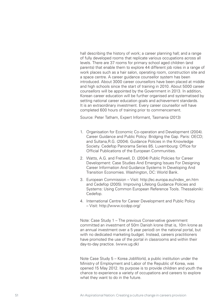hall describing the history of work; a career planning hall; and a range of fully developed rooms that replicate various occupations across all levels. There are 37 rooms for primary school aged children (and parents) that enable them to explore 44 different job roles in a range of work places such as a hair salon, operating room, construction site and a space centre. A career guidance counsellor system has been introduced. About 3000 career counsellors have been placed at middle and high schools since the start of training in 2010. About 5000 career counsellors will be appointed by the Government in 2013. In addition, Korean career education will be further organised and systematised by setting national career education goals and achievement standards. It is an extraordinary investment. Every career counsellor will have completed 600 hours of training prior to commencement.

Source: Peter Tatham, Expert Informant, Tasmania (2013)

- 1. Organisation for Economic Co-operation and Development (2004). Career Guidance and Public Policy: Bridging the Gap. Paris: OECD; and Sultana,R.G. (2004). Guidance Policies in the Knowledge Society. Cedefop Panorama Series 85. Luxembourg: Office for Official Publications of the European Communities.
- 2. Watts, A.G. and Fretwell, D. (2004) Public Policies for Career Development: Case Studies And Emerging Issues For Designing Career Information And Guidance Systems In Developing And Transition Economies. Washington, DC: World Bank.
- 3. European Commission Visit: http://ec.europa.eu/index\_en.htm and Cedefop (2005). Improving Lifelong Guidance Policies and Systems: Using Common European Reference Tools. Thessaloniki: Cedefop.
- 4. International Centre for Career Development and Public Policy – Visit: http://www.iccdpp.org/

Note: Case Study 1 – The previous Conservative government committed an investment of 50m Danish krone (that is, 10m krone as an annual investment over a 5 year period) on the national portal, but with no dedicated marketing budget. Instead, careers practitioners have promoted the use of the portal in classrooms and within their day-to-day practice. (www.ug.dk)

Note Case Study 5 – Korea JobWorld, a public institution under the Ministry of Employment and Labor of the Republic of Korea, was opened 15 May 2012. Its purpose is to provide children and youth the chance to experience a variety of occupations and careers to explore what they want to do in the future.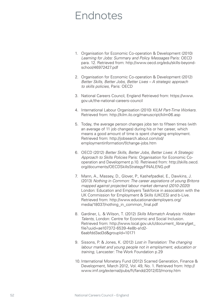# Endnotes

- 1. Organisation for Economic Co-operation & Development (2010) *Learning for Jobs: Summary and Policy Messages* Paris: OECD para. 12. Retrieved from: http://www.oecd.org/edu/skills-beyondschool/46972427.pdf
- 2. Organisation for Economic Co-operation & Development (2012) *Better Skills, Better Jobs, Better Lives – A strategic approach to skills policies*, Paris: OECD
- 3. National Careers Council, England Retrieved from: https://www. gov.uk/the-national-careers-council
- 4. International Labour Organisation (2010) *KILM Part-Time Workers.* Retrieved from: http://kilm.ilo.org/manuscript/kilm06.asp
- 5. Today, the average person changes jobs ten to fifteen times (with an average of 11 job changes) during his or her career, which means a good amount of time is spent changing employment. Retrieved from: http://jobsearch.about.com/od/ employmentinformation/f/change-jobs.htm
- 6. OECD (2012) *Better Skills, Better Jobs, Better Lives: A Strategic Approach to Skills Policies* Paris: Organisation for Economic Cooperation and Development p.10. Retrieved from: http://skills.oecd. org/documents/OECDSkillsStrategyFINALENG.pdf
- 7. Mann, A., Massey, D., Glover, P., Kashefpadkel, E., Dawkins, J. (2013) *Nothing in Common: The career aspirations of young Britons mapped against projected labour market demand (2010-2020)*  London: Education and Employers Taskforce in association with the UK Commission for Employment & Skills (UKCES) and b-Live. Retrieved from: http://www.educationandemployers.org/ media/18037/nothing\_in\_common\_final.pdf
- 8. Gardiner, L. & Wilson, T. (2012) *Skills Mismatch Analysis: Hidden Talents*, London: Centre for Economic and Social Inclusion. Retrieved from: http://www.local.gov.uk/c/document\_library/get\_ file?uuid=ae107372-6539-4e8b-a1d2- 6aabfdd3ad3d&groupId=10171
- 9. Sissons, P. & Jones, K. (2012) *Lost in Translation: The changing labour market and young people not in employment, education or training*, Lancaster: The Work Foundation p.29
- 10. International Monetary Fund (2012) Scarred Generation, Finance & Development, March 2012, Vol. 49, No. 1. Retrieved from: http:// www.imf.org/external/pubs/ft/fandd/2012/03/morsy.htm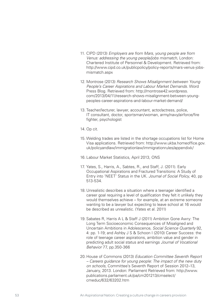- 11. CIPD (2013) *Employers are from Mars, young people are from Venus: addressing the young people/jobs mismatch*, London: Chartered Institute of Personnel & Development. Retrieved from: http://www.cipd.co.uk/publicpolicy/policy-reports/mars-venus-jobsmismatch.aspx
- 12. Montrose (2013) *Research Shows Misalignment between Young People's Career Aspirations and Labour Market Demands*. Word Press Blog. Retrieved from: http://montrose42.wordpress. com/2013/04/11/research-shows-misalignment-between-youngpeoples-career-aspirations-and-labour-market-demand/
- 13. Teacher/lecturer, lawyer, accountant, actor/actress, police, IT consultant, doctor, sportsman/woman, army/navy/airforce/fire fighter, psychologist
- 14. Op cit.
- 15. Welding trades are listed in the shortage occupations list for Home Visa applications. Retrieved from: http://www.ukba.homeoffice.gov. uk/policyandlaw/immigrationlaw/immigrationrules/appendixk/
- 16. Labour Market Statistics, April 2013, ONS
- 17. Yates, S., Harris, A., Sabtes, R., and Staff, J. (2011). Early Occupational Aspirations and Fractured Transitions: A Study of Entry into 'NEET' Status in the UK. *Journal of Social Policy*, 40, pp 513-534.
- 18. Unrealistic describes a situation where a teenager identified a career goal requiring a level of qualification they felt it unlikely they would themselves achieve – for example, at an extreme someone wanting to be a lawyer but expecting to leave school at 16 would be described as unrealistic. (Yates et al. 2011)
- 19. Sabates R, Harris A L & Staff J (2011) Ambition Gone Awry: The Long Term Socioeconomic Consequences of Misaligned and Uncertain Ambitions in Adolescence, *Social Science Quarterly* 92, 4: pp. 1-19; and Ashby J S & Schoon I (2010) Career Success: the role of teenage career aspirations, ambition value and gender in predicting adult social status and earnings *Journal of Vocational Behavior* 77, pp.350-366
- 20. House of Commons (2013) *Education Committee Seventh Report – Careers guidance for young people: The impact of the new duty on schools*, Committee's Seventh Report of Session 2012–13, January, 2013. London: Parliament Retrieved from: http://www. publications.parliament.uk/pa/cm201213/cmselect/ cmeduc/632/63202.htm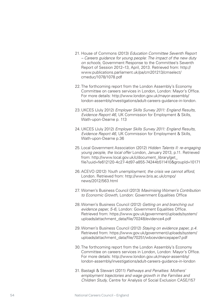- 21. House of Commons (2013) *Education Committee Seventh Report – Careers guidance for young people: The impact of the new duty on schools*, Government Response to the Committee's Seventh Report of Session 2012–13, April, 2013. Retrieved from: http:// www.publications.parliament.uk/pa/cm201213/cmselect/ cmeduc/1078/1078.pdf
- 22. The forthcoming report from the London Assembly's Economy Committee on careers services in London, London: Mayor's Office. For more details: http://www.london.gov.uk/mayor-assembly/ london-assembly/investigations/adult-careers-guidance-in-london.
- 23. UKCES (July 2012) *Employer Skills Survey 2011: England Results, Evidence Report 46*, UK Commission for Employment & Skills, Wath-upon-Dearne p. 113
- 24. UKCES (July 2012) *Employer Skills Survey 2011: England Results, Evidence Report 46*, UK Commission for Employment & Skills, Wath-upon-Dearne p.36
- 25. Local Government Association (2012) *Hidden Talents II: re-engaging young people, the local offer* London, January 2013, p.11. Retrieved from: http://www.local.gov.uk/c/document\_library/get\_ file?uuid=fe612120-4c27-4d97-a855-74244b511410&groupId=10171
- 26. ACEVO (2012) *Youth unemployment, the crisis we cannot afford*, London. Retrieved from: http://www.bris.ac.uk/cmpo/ news/2012/563.html
- 27. Women's Business Council (2013) *Maximising Women's Contribution to Economic Growth*, London: Government Equalities Office
- 28. Women's Business Council (2012) *Getting on and branching out evidence paper, 5-6*, London: Government Equalities Office. Retrieved from: https://www.gov.uk/government/uploads/system/ uploads/attachment\_data/file/70248/evidence4.pdf
- 29. Women's Business Council (2012) *Staying on evidence paper, p.4*. Retrieved from: https://www.gov.uk/government/uploads/system/ uploads/attachment\_data/file/70251/wbcevidencepaper7.pdf
- 30. The forthcoming report from the London Assembly's Economy Committee on careers services in London, London: Mayor's Office. For more details: http://www.london.gov.uk/mayor-assembly/ london-assembly/investigations/adult-careers-guidance-in-london
- 31. Bastagli & Stewart (2011) *Pathways and Penalties: Mothers' employment trajectories and wage growth in the Families and Children Study*, Centre for Analysis of Social Exclusion CASE/157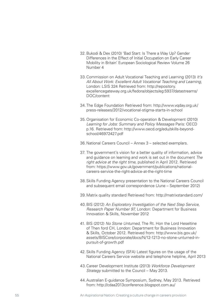- 32. Bukodi & Dex (2010) 'Bad Start: Is There a Way Up? Gender Differences in the Effect of Initial Occupation on Early Career Mobility in Britain' European Sociological Review Volume 26 Number 4
- 33. Commission on Adult Vocational Teaching and Learning (2013) *It's All About Work: Excellent Adult Vocational Teaching and Learning*, London: LSIS 324 Retrieved from: http://repository. excellencegateway.org.uk/fedora/objects/eg:5937/datastreams/ DOC/content
- 34. The Edge Foundation Retrieved from: http://www.vqday.org.uk/ press-releases/2012/vocational-stigma-starts-in-school
- 35. Organisation for Economic Co-operation & Development (2010) *Learning for Jobs: Summary and Policy Messages* Paris: OECD p.16. Retrieved from: http://www.oecd.org/edu/skills-beyondschool/46972427.pdf

36. National Careers Council – Annex 3 – selected exemplars.

- 37. The government's vision for a better quality of information, advice and guidance on learning and work is set out in the document *The right advice at the right time*, published in April 2012. Retrieved from: https://www.gov.uk/government/publications/nationalcareers-service-the-right-advice-at-the-right-time
- 38. Skills Funding Agency presentation to the National Careers Council and subsequent email correspondence (June – September 2012)
- 39. Matrix quality standard Retrieved from: http://matrixstandard.com/
- 40. BIS (2012) *An Exploratory Investigation of the Next Step Service, Research Paper Number 97*, London: Department for Business Innovation & Skills, November 2012
- 41. BIS (2012) *No Stone Unturned*, The Rt. Hon the Lord Heseltine of Then ford CH, London: Department for Business Innovation & Skills, October 2012. Retrieved from: http://www.bis.gov.uk/ assets/BISCore/corporate/docs/N/12-1213-no-stone-unturned-inpursuit-of-growth.pdf
- 42. Skills Funding Agency (SFA) Latest figures on the usage of the National Careers Service website and telephone helpline, April 2013
- 43. Career Development Institute (2013) *Workforce Development Strategy* submitted to the Council – May 2013.
- 44. Australian E-guidance Symposium, Sydney, May 2013. Retrieved from: http://cdaa2013conference.blogspot.com.au/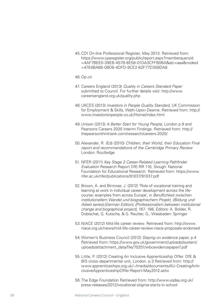45. CDI On-line Professional Register, May 2013. Retrieved from: https://www.cparegister.org/public/report.aspx?memberqueryid =4AF7BEE0-39EB-4579-8E58-01DA3CFFB06A&atc=aaa&nodeid =47E4BA66-08D8-4DFD-9CE2-62F77D358DA8

### 46. Op.cit

- 47. Careers England (2013) *Quality in Careers Standard Paper*  submitted to Council. For further details visit: http://www. careersengland.org.uk/quality.php
- 48. UKCES (2013) *Investors in People Quality Standard*, UK Commission for Employment & Skills, Wath-Upon-Dearne. Retrieved from: http:// www.investorsinpeople.co.uk/Home/index.html
- 49. Unison (2013) *A Better Start for Young People*, London p.9 and Pearsons Careers 2020 Interim Findings. Retrieved from: http:// thepearsonthinktank.com/research/careers-2020/
- 50. Alexander, R. (Ed) (2010) *Children, their World, their Education Final report and recommendations of the Cambridge Primary Review*  London: Routledge
- 51. NFER (2011) *Key Stage 2 Career-Related Learning Pathfinder Evaluation* Research Report DfE-RR 116, Slough: National Foundation for Educational Research. Retrieved from: https://www. nfer.ac.uk/nfer/publications/91037/91037.pdf
- 52. Brown, A. and Bimrose, J. (2012) 'Role of vocational training and learning at work in individual career development across the lifecourse: examples from across Europe', in *Beruflichkeit zwischen institutionellem Wandel und biographischem Projekt, (Bildung und Arbeit series),(German Edition), [Professionalism between institutional change and biographical project]*, 167- 188, Editors: A. Bolder, R. Dobischat, G. Kutscha, & G. Reutter, G., Wiesbaden: Springer
- 53. NIACE (2012) Mid-life career review. Retrieved from: http://www. niace.org.uk/news/mid-life-career-review-niace-proposals-endorsed
- 54. Women's Business Council (2012) *Staying on evidence paper*, p.4 Retrieved from: https://www.gov.uk/government/uploads/system/ uploads/attachment\_data/file/70251/wbcevidencepaper7.pdf
- 55. Little, P. (2012) Creating An Inclusive Apprenticeship Offer. DfE & BIS cross-departmental unit, London. p.3 Retrieved from: http:// www.apprenticeships.org.uk/~/media/documents/AU-CreatingAnIn clusiveApprenticeshipOffer-Report-May2012.ashx
- 56. The Edge Foundation Retrieved from: http://www.vqday.org.uk/ press-releases/2012/vocational-stigma-starts-in-school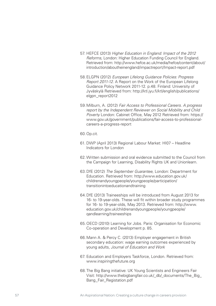- 57. HEFCE (2013) *Higher Education in England: Impact of the 2012 Reforms*, London: Higher Education Funding Council for England. Retrieved from: http://www.hefce.ac.uk/media/hefce/content/about/ introduction/aboutheinengland/impactreport/Impact-report.pdf
- 58. ELGPN (2012) *European Lifelong Guidance Policies: Progress Report 2011-12*. A Report on the Work of the European Lifelong Guidance Policy Network 2011-12. p.48. Finland: University of Jyväskylä Retrieved from: http://ktl.jyu.fi/ktl/english/publications/ elgpn\_report2012
- 59. Milburn, A. (2012) *Fair Access to Professional Careers. A progress report by the Independent Reviewer on Social Mobility and Child Poverty* London: Cabinet Office, May 2012 Retrieved from: https:// www.gov.uk/government/publications/fair-access-to-professionalcareers-a-progress-report

### 60. Op.cit.

- 61. DWP (April 2013) Regional Labour Market: HI07 Headline Indicators for London
- 62. Written submission and oral evidence submitted to the Council from the Campaign for Learning, Disability Rights UK and Unionlearn.
- 63. DfE (2012) *The September Guarantee*, London: Department for Education. Retrieved from: http://www.education.gov.uk/ childrenandyoungpeople/youngpeople/participation/ transitionintoeducationandtraining
- 64. DfE (2013) Traineeships will be introduced from August 2013 for 16- to 19-year-olds. These will fit within broader study programmes for 16- to 19-year-olds, May 2013. Retrieved from: http://www. education.gov.uk/childrenandyoungpeople/youngpeople/ qandlearning/traineeships
- 65. OECD (2010) Learning for Jobs. Paris: Organisation for Economic Co-operation and Development p. 85.
- 66. Mann A. & Percy C. (2013) Employer engagement in British secondary education: wage earning outcomes experienced by young adults, *Journal of Education and Work*
- 67. Education and Employers Taskforce, London. Retrieved from: www.inspiringthefuture.org
- 68. The Big Bang initiative: UK Young Scientists and Engineers Fair Visit: http://www.thebigbangfair.co.uk/\_db/\_documents/The\_Big\_ Bang\_Fair\_Registation.pdf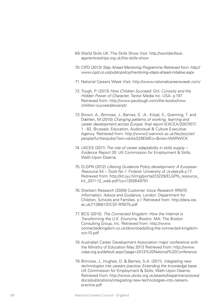- 69. World Skills UK: The Skills Show Visit: http://worldskillsuk. apprenticeships.org.uk/the-skills-show
- 70. CIPD (2013) *Step Ahead Mentoring Programme Retrieved from: http:// www.cipd.co.uk/publicpolicy/mentoring-steps-ahead-initiative.aspx*
- 71. National Careers Week Visit: http://www.nationalcareersweek.com/
- 72. Tough, P. (2013) *How Children Succeed: Grit, Curiosity and the Hidden Power of Character*, Tantor Media Inc. USA. p.197 Retrieved from: http://www.paultough.com/the-books/howchildren-succeed/excerpt/
- 73. Brown, A., Bimrose, J., Barnes, S. -A., Kirpal, S., Grønning, T. and Dæhlen, M.(2010) *Changing patterns of working, learning and career development across Europe: final report* (EACEA/2007/07)', 1 - 82, Brussels: Education, Audiovisual & Culture Executive Agency. Retrieved from: http://www2.warwick.ac.uk/fac/soc/ier/ people/furtherpubs/?ssn=sbAsS29EMEo=&inst=WARWICK
- 74. UKCES (2011) *The role of career adaptability in skills supply Evidence Report 35*. UK Commission for Employment & Skills, Wath-Upon-Dearne.
- 75. ELGPN (2012) *Lifelong Guidance Policy development: A European Resource Kit – Tools No 1*. Finland: University of Jyväskylä p.17. Retrieved from: http://ktl.jyu.fi/img/portal/23229/ELGPN\_resource\_ kit\_2011-12\_web.pdf?cs=1350649791
- 76. Sherbert Research (2009) Customer *Voice Research RR075: Information, Advice and Guidance*, London: Department for Children, Schools and Families. p.1 Retrieved from: http://dera.ioe. ac.uk/11368/1/DCSF-RR075.pdf
- 77. BCG (2010). *The Connected Kingdom: How the Internet is Transforming the U.K. Economy*. Boston, MA: The Boston Consulting Group, Inc. Retrieved from: http://www. connectedkingdom.co.uk/downloads/bcg-the-connected-kingdomoct-10.pdf
- 78. Australian Career Development Association major conference with the Ministry of Education May 2013 Retrieved from: http://www. cdaa.org.au/default.aspx?page=2013%20National%20Conference
- 79. Bimrose, J., Hughes, D. & Barnes, S-A. (2011). *Integrating new technologies into careers practice: Extending the knowledge base*. UK Commission for Employment & Skills, Wath-Upon-Dearne. Retrieved from: http://www.ukces.org.uk/assets/bispartners/ukces/ docs/publications/integrating-new-technololgies-into-careerspractice.pdf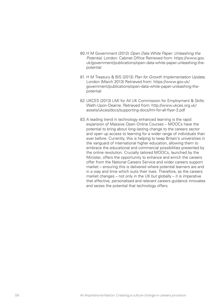- 80. H M Government (2012) *Open Data White Paper: Unleashing the Potential*, London: Cabinet Office Retrieved from: https://www.gov. uk/government/publications/open-data-white-paper-unleashing-thepotential
- 81. H M Treasury & BIS (2013) *Plan for Growth Implementation Update*, London (March 2013) Retrieved from: https://www.gov.uk/ government/publications/open-data-white-paper-unleashing-thepotential
- 82. UKCES (2013) LMI for All UK Commission for Employment & Skills: Wath-Upon-Dearne. Retrieved from: http://www.ukces.org.uk/ assets/ukces/docs/supporting-docs/lmi-for-all-flyer-3.pdf
- 83. A leading trend in technology enhanced learning is the rapid expansion of Massive Open Online Courses – MOOCs have the potential to bring about long-lasting change to the careers sector and open up access to learning for a wider range of individuals than ever before. Currently, this is helping to keep Britain's universities in the vanguard of international higher education, allowing them to embrace the educational and commercial possibilities presented by the online revolution. Crucially tailored MOOCs, launched by the Minister, offers the opportunity to enhance and enrich the careers offer from the National Careers Service and wider careers support market – ensuring this is delivered where potential learners are and in a way and time which suits their lives. Therefore, as the careers market changes – not only in the UK but globally – it is imperative that effective, personalised and relevant careers guidance innovates and seizes the potential that technology offers.